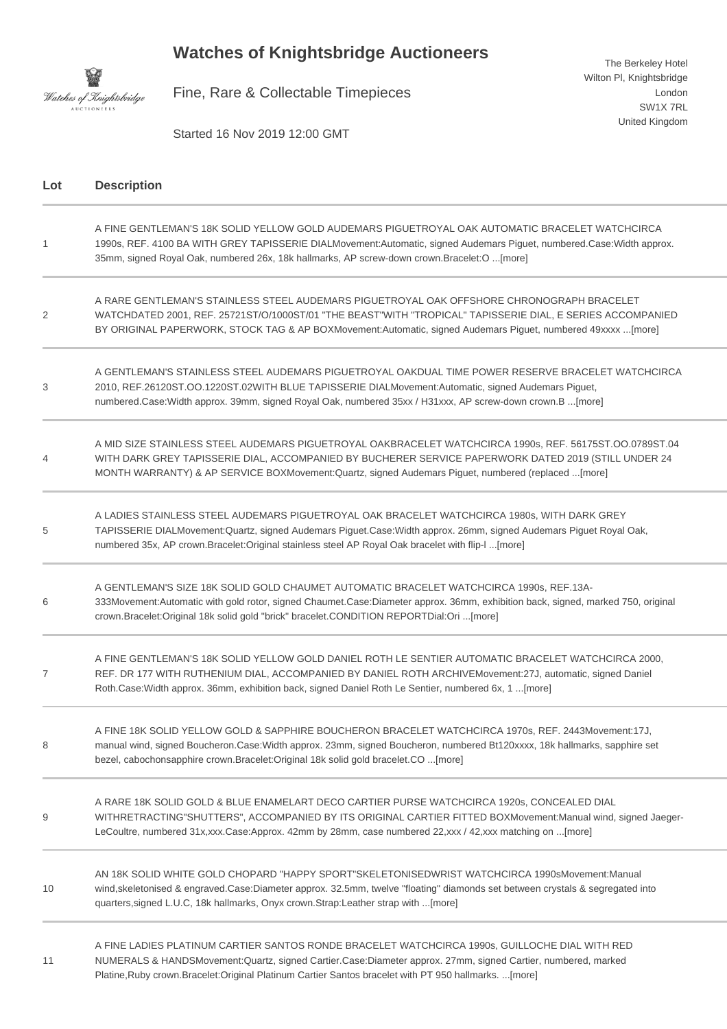## **Watches of Knightsbridge Auctioneers**



Fine, Rare & Collectable Timepieces

Started 16 Nov 2019 12:00 GMT

**Lot Description** 1 A FINE GENTLEMAN'S 18K SOLID YELLOW GOLD AUDEMARS PIGUETROYAL OAK AUTOMATIC BRACELET WATCHCIRCA 1990s, REF. 4100 BA WITH GREY TAPISSERIE DIALMovement:Automatic, signed Audemars Piguet, numbered.Case:Width approx. 35mm, signed Royal Oak, numbered 26x, 18k hallmarks, AP screw-down crown.Bracelet:O ...[more] 2 A RARE GENTLEMAN'S STAINLESS STEEL AUDEMARS PIGUETROYAL OAK OFFSHORE CHRONOGRAPH BRACELET WATCHDATED 2001, REF. 25721ST/O/1000ST/01 "THE BEAST"WITH "TROPICAL" TAPISSERIE DIAL, E SERIES ACCOMPANIED BY ORIGINAL PAPERWORK, STOCK TAG & AP BOXMovement:Automatic, signed Audemars Piguet, numbered 49xxxx ...[more] 3 A GENTLEMAN'S STAINLESS STEEL AUDEMARS PIGUETROYAL OAKDUAL TIME POWER RESERVE BRACELET WATCHCIRCA 2010, REF.26120ST.OO.1220ST.02WITH BLUE TAPISSERIE DIALMovement:Automatic, signed Audemars Piguet, numbered.Case:Width approx. 39mm, signed Royal Oak, numbered 35xx / H31xxx, AP screw-down crown.B ...[more]  $\Delta$ A MID SIZE STAINLESS STEEL AUDEMARS PIGUETROYAL OAKBRACELET WATCHCIRCA 1990s, REF. 56175ST.OO.0789ST.04 WITH DARK GREY TAPISSERIE DIAL, ACCOMPANIED BY BUCHERER SERVICE PAPERWORK DATED 2019 (STILL UNDER 24 MONTH WARRANTY) & AP SERVICE BOXMovement:Quartz, signed Audemars Piguet, numbered (replaced ...[more] 5 A LADIES STAINLESS STEEL AUDEMARS PIGUETROYAL OAK BRACELET WATCHCIRCA 1980s, WITH DARK GREY TAPISSERIE DIALMovement:Quartz, signed Audemars Piguet.Case:Width approx. 26mm, signed Audemars Piguet Royal Oak, numbered 35x, AP crown.Bracelet:Original stainless steel AP Royal Oak bracelet with flip-l ...[more] 6 A GENTLEMAN'S SIZE 18K SOLID GOLD CHAUMET AUTOMATIC BRACELET WATCHCIRCA 1990s, REF.13A-333Movement:Automatic with gold rotor, signed Chaumet.Case:Diameter approx. 36mm, exhibition back, signed, marked 750, original crown.Bracelet:Original 18k solid gold "brick" bracelet.CONDITION REPORTDial:Ori ...[more] 7 A FINE GENTLEMAN'S 18K SOLID YELLOW GOLD DANIEL ROTH LE SENTIER AUTOMATIC BRACELET WATCHCIRCA 2000, REF. DR 177 WITH RUTHENIUM DIAL, ACCOMPANIED BY DANIEL ROTH ARCHIVEMovement:27J, automatic, signed Daniel Roth.Case:Width approx. 36mm, exhibition back, signed Daniel Roth Le Sentier, numbered 6x, 1 ...[more] 8 A FINE 18K SOLID YELLOW GOLD & SAPPHIRE BOUCHERON BRACELET WATCHCIRCA 1970s, REF. 2443Movement:17J, manual wind, signed Boucheron.Case:Width approx. 23mm, signed Boucheron, numbered Bt120xxxx, 18k hallmarks, sapphire set bezel, cabochonsapphire crown.Bracelet:Original 18k solid gold bracelet.CO ...[more]  $\overline{Q}$ A RARE 18K SOLID GOLD & BLUE ENAMELART DECO CARTIER PURSE WATCHCIRCA 1920s, CONCEALED DIAL WITHRETRACTING"SHUTTERS", ACCOMPANIED BY ITS ORIGINAL CARTIER FITTED BOXMovement:Manual wind, signed Jaeger-LeCoultre, numbered 31x,xxx.Case:Approx. 42mm by 28mm, case numbered 22,xxx / 42,xxx matching on ...[more] 10 AN 18K SOLID WHITE GOLD CHOPARD "HAPPY SPORT"SKELETONISEDWRIST WATCHCIRCA 1990sMovement:Manual wind,skeletonised & engraved.Case:Diameter approx. 32.5mm, twelve "floating" diamonds set between crystals & segregated into quarters,signed L.U.C, 18k hallmarks, Onyx crown.Strap:Leather strap with ...[more] 11 A FINE LADIES PLATINUM CARTIER SANTOS RONDE BRACELET WATCHCIRCA 1990s, GUILLOCHE DIAL WITH RED NUMERALS & HANDSMovement:Quartz, signed Cartier.Case:Diameter approx. 27mm, signed Cartier, numbered, marked

Platine,Ruby crown.Bracelet:Original Platinum Cartier Santos bracelet with PT 950 hallmarks. ...[more]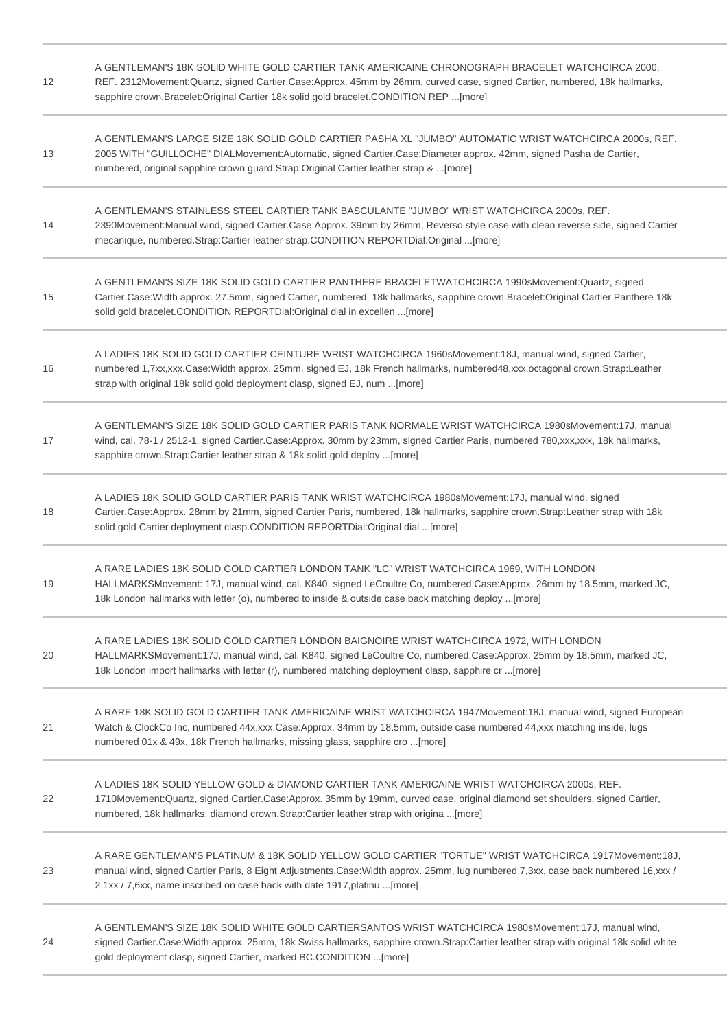| 12 | A GENTLEMAN'S 18K SOLID WHITE GOLD CARTIER TANK AMERICAINE CHRONOGRAPH BRACELET WATCHCIRCA 2000,<br>REF. 2312Movement:Quartz, signed Cartier.Case:Approx. 45mm by 26mm, curved case, signed Cartier, numbered, 18k hallmarks,<br>sapphire crown.Bracelet:Original Cartier 18k solid gold bracelet.CONDITION REP [more]    |
|----|---------------------------------------------------------------------------------------------------------------------------------------------------------------------------------------------------------------------------------------------------------------------------------------------------------------------------|
| 13 | A GENTLEMAN'S LARGE SIZE 18K SOLID GOLD CARTIER PASHA XL "JUMBO" AUTOMATIC WRIST WATCHCIRCA 2000s, REF.<br>2005 WITH "GUILLOCHE" DIALMovement:Automatic, signed Cartier.Case:Diameter approx. 42mm, signed Pasha de Cartier,<br>numbered, original sapphire crown guard.Strap:Original Cartier leather strap & [more]     |
| 14 | A GENTLEMAN'S STAINLESS STEEL CARTIER TANK BASCULANTE "JUMBO" WRIST WATCHCIRCA 2000s, REF.<br>2390Movement:Manual wind, signed Cartier.Case:Approx. 39mm by 26mm, Reverso style case with clean reverse side, signed Cartier<br>mecanique, numbered.Strap:Cartier leather strap.CONDITION REPORTDial:Original [more]      |
| 15 | A GENTLEMAN'S SIZE 18K SOLID GOLD CARTIER PANTHERE BRACELETWATCHCIRCA 1990sMovement:Quartz, signed<br>Cartier.Case:Width approx. 27.5mm, signed Cartier, numbered, 18k hallmarks, sapphire crown.Bracelet:Original Cartier Panthere 18k<br>solid gold bracelet.CONDITION REPORTDial:Original dial in excellen [more]      |
| 16 | A LADIES 18K SOLID GOLD CARTIER CEINTURE WRIST WATCHCIRCA 1960sMovement:18J, manual wind, signed Cartier,<br>numbered 1,7xx,xxx.Case:Width approx. 25mm, signed EJ, 18k French hallmarks, numbered48,xxx,octagonal crown.Strap:Leather<br>strap with original 18k solid gold deployment clasp, signed EJ, num [more]      |
| 17 | A GENTLEMAN'S SIZE 18K SOLID GOLD CARTIER PARIS TANK NORMALE WRIST WATCHCIRCA 1980sMovement: 17J, manual<br>wind, cal. 78-1 / 2512-1, signed Cartier.Case:Approx. 30mm by 23mm, signed Cartier Paris, numbered 780, xxx, xxx, 18k hallmarks,<br>sapphire crown.Strap:Cartier leather strap & 18k solid gold deploy [more] |
| 18 | A LADIES 18K SOLID GOLD CARTIER PARIS TANK WRIST WATCHCIRCA 1980sMovement:17J, manual wind, signed<br>Cartier.Case:Approx. 28mm by 21mm, signed Cartier Paris, numbered, 18k hallmarks, sapphire crown.Strap:Leather strap with 18k<br>solid gold Cartier deployment clasp.CONDITION REPORTDial:Original dial [more]      |
| 19 | A RARE LADIES 18K SOLID GOLD CARTIER LONDON TANK "LC" WRIST WATCHCIRCA 1969, WITH LONDON<br>HALLMARKSMovement: 17J, manual wind, cal. K840, signed LeCoultre Co, numbered.Case:Approx. 26mm by 18.5mm, marked JC,<br>18k London hallmarks with letter (o), numbered to inside & outside case back matching deploy [more]  |
| 20 | A RARE LADIES 18K SOLID GOLD CARTIER LONDON BAIGNOIRE WRIST WATCHCIRCA 1972, WITH LONDON<br>HALLMARKSMovement:17J, manual wind, cal. K840, signed LeCoultre Co, numbered.Case:Approx. 25mm by 18.5mm, marked JC,<br>18k London import hallmarks with letter (r), numbered matching deployment clasp, sapphire cr [more]   |
| 21 | A RARE 18K SOLID GOLD CARTIER TANK AMERICAINE WRIST WATCHCIRCA 1947Movement:18J, manual wind, signed European<br>Watch & ClockCo Inc, numbered 44x,xxx.Case:Approx. 34mm by 18.5mm, outside case numbered 44,xxx matching inside, lugs<br>numbered 01x & 49x, 18k French hallmarks, missing glass, sapphire cro [more]    |
| 22 | A LADIES 18K SOLID YELLOW GOLD & DIAMOND CARTIER TANK AMERICAINE WRIST WATCHCIRCA 2000s, REF.<br>1710Movement:Quartz, signed Cartier.Case:Approx. 35mm by 19mm, curved case, original diamond set shoulders, signed Cartier,<br>numbered, 18k hallmarks, diamond crown.Strap:Cartier leather strap with origina [more]    |
| 23 | A RARE GENTLEMAN'S PLATINUM & 18K SOLID YELLOW GOLD CARTIER "TORTUE" WRIST WATCHCIRCA 1917Movement:18J,<br>manual wind, signed Cartier Paris, 8 Eight Adjustments.Case: Width approx. 25mm, lug numbered 7,3xx, case back numbered 16,xxx /<br>2,1xx / 7,6xx, name inscribed on case back with date 1917, platinu  [more] |
| 24 | A GENTLEMAN'S SIZE 18K SOLID WHITE GOLD CARTIERSANTOS WRIST WATCHCIRCA 1980sMovement:17J, manual wind,<br>signed Cartier.Case:Width approx. 25mm, 18k Swiss hallmarks, sapphire crown.Strap:Cartier leather strap with original 18k solid white<br>gold deployment clasp, signed Cartier, marked BC.CONDITION [more]      |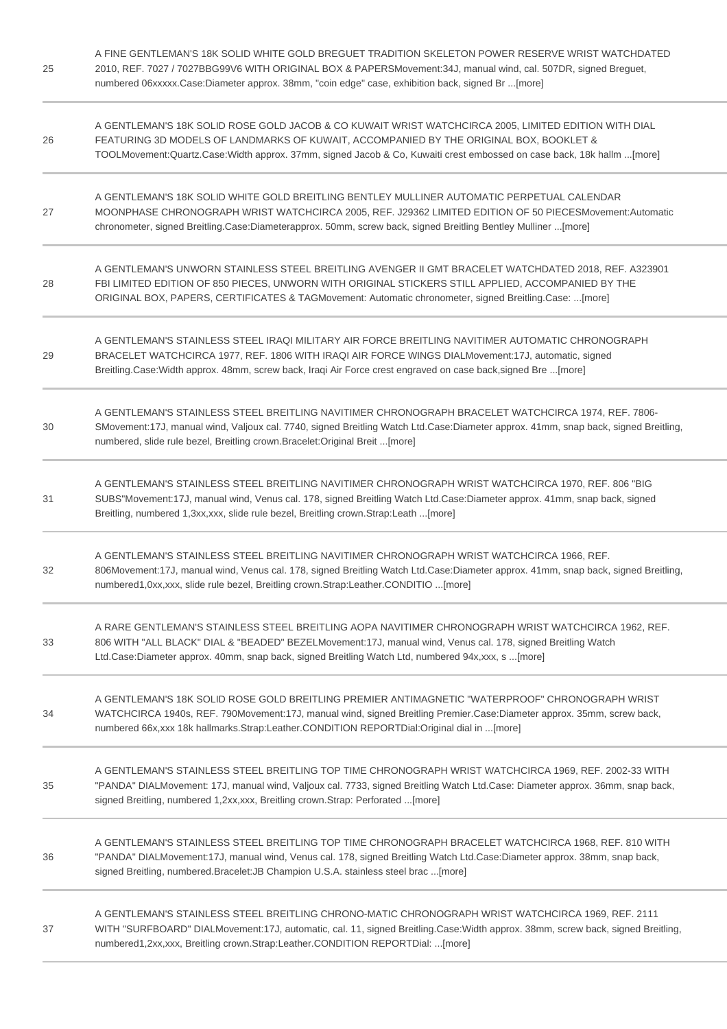| 25 | A FINE GENTLEMAN'S 18K SOLID WHITE GOLD BREGUET TRADITION SKELETON POWER RESERVE WRIST WATCHDATED<br>2010, REF. 7027 / 7027BBG99V6 WITH ORIGINAL BOX & PAPERSMovement: 34J, manual wind, cal. 507DR, signed Breguet,<br>numbered 06xxxxx.Case:Diameter approx. 38mm, "coin edge" case, exhibition back, signed Br [more]    |
|----|-----------------------------------------------------------------------------------------------------------------------------------------------------------------------------------------------------------------------------------------------------------------------------------------------------------------------------|
| 26 | A GENTLEMAN'S 18K SOLID ROSE GOLD JACOB & CO KUWAIT WRIST WATCHCIRCA 2005, LIMITED EDITION WITH DIAL<br>FEATURING 3D MODELS OF LANDMARKS OF KUWAIT, ACCOMPANIED BY THE ORIGINAL BOX, BOOKLET &<br>TOOLMovement:Quartz.Case:Width approx. 37mm, signed Jacob & Co, Kuwaiti crest embossed on case back, 18k hallm [more]     |
| 27 | A GENTLEMAN'S 18K SOLID WHITE GOLD BREITLING BENTLEY MULLINER AUTOMATIC PERPETUAL CALENDAR<br>MOONPHASE CHRONOGRAPH WRIST WATCHCIRCA 2005, REF. J29362 LIMITED EDITION OF 50 PIECESMovement: Automatic<br>chronometer, signed Breitling.Case:Diameterapprox. 50mm, screw back, signed Breitling Bentley Mulliner [more]     |
| 28 | A GENTLEMAN'S UNWORN STAINLESS STEEL BREITLING AVENGER II GMT BRACELET WATCHDATED 2018, REF. A323901<br>FBI LIMITED EDITION OF 850 PIECES, UNWORN WITH ORIGINAL STICKERS STILL APPLIED, ACCOMPANIED BY THE<br>ORIGINAL BOX, PAPERS, CERTIFICATES & TAGMovement: Automatic chronometer, signed Breitling.Case: [more]        |
| 29 | A GENTLEMAN'S STAINLESS STEEL IRAQI MILITARY AIR FORCE BREITLING NAVITIMER AUTOMATIC CHRONOGRAPH<br>BRACELET WATCHCIRCA 1977, REF. 1806 WITH IRAQI AIR FORCE WINGS DIALMovement: 17J, automatic, signed<br>Breitling.Case: Width approx. 48mm, screw back, Iraqi Air Force crest engraved on case back, signed Bre  [more]  |
| 30 | A GENTLEMAN'S STAINLESS STEEL BREITLING NAVITIMER CHRONOGRAPH BRACELET WATCHCIRCA 1974, REF. 7806-<br>SMovement:17J, manual wind, Valjoux cal. 7740, signed Breitling Watch Ltd.Case:Diameter approx. 41mm, snap back, signed Breitling,<br>numbered, slide rule bezel, Breitling crown.Bracelet:Original Breit [more]      |
| 31 | A GENTLEMAN'S STAINLESS STEEL BREITLING NAVITIMER CHRONOGRAPH WRIST WATCHCIRCA 1970, REF. 806 "BIG<br>SUBS"Movement:17J, manual wind, Venus cal. 178, signed Breitling Watch Ltd.Case:Diameter approx. 41mm, snap back, signed<br>Breitling, numbered 1,3xx,xxx, slide rule bezel, Breitling crown.Strap:Leath [more]       |
| 32 | A GENTLEMAN'S STAINLESS STEEL BREITLING NAVITIMER CHRONOGRAPH WRIST WATCHCIRCA 1966, REF.<br>806Movement:17J, manual wind, Venus cal. 178, signed Breitling Watch Ltd.Case:Diameter approx. 41mm, snap back, signed Breitling,<br>numbered1,0xx,xxx, slide rule bezel, Breitling crown.Strap:Leather.CONDITIO [more]        |
| 33 | A RARE GENTLEMAN'S STAINLESS STEEL BREITLING AOPA NAVITIMER CHRONOGRAPH WRIST WATCHCIRCA 1962, REF.<br>806 WITH "ALL BLACK" DIAL & "BEADED" BEZELMovement:17J, manual wind, Venus cal. 178, signed Breitling Watch<br>Ltd.Case:Diameter approx. 40mm, snap back, signed Breitling Watch Ltd, numbered 94x, xxx, s  [more]   |
| 34 | A GENTLEMAN'S 18K SOLID ROSE GOLD BREITLING PREMIER ANTIMAGNETIC "WATERPROOF" CHRONOGRAPH WRIST<br>WATCHCIRCA 1940s, REF. 790Movement:17J, manual wind, signed Breitling Premier.Case:Diameter approx. 35mm, screw back,<br>numbered 66x, xxx 18k hallmarks. Strap: Leather. CONDITION REPORTDial: Original dial in  [more] |
| 35 | A GENTLEMAN'S STAINLESS STEEL BREITLING TOP TIME CHRONOGRAPH WRIST WATCHCIRCA 1969, REF. 2002-33 WITH<br>"PANDA" DIALMovement: 17J, manual wind, Valjoux cal. 7733, signed Breitling Watch Ltd.Case: Diameter approx. 36mm, snap back,<br>signed Breitling, numbered 1,2xx,xxx, Breitling crown.Strap: Perforated [more]    |
| 36 | A GENTLEMAN'S STAINLESS STEEL BREITLING TOP TIME CHRONOGRAPH BRACELET WATCHCIRCA 1968, REF. 810 WITH<br>"PANDA" DIALMovement:17J, manual wind, Venus cal. 178, signed Breitling Watch Ltd.Case:Diameter approx. 38mm, snap back,<br>signed Breitling, numbered.Bracelet: JB Champion U.S.A. stainless steel brac [more]     |
| 37 | A GENTLEMAN'S STAINLESS STEEL BREITLING CHRONO-MATIC CHRONOGRAPH WRIST WATCHCIRCA 1969, REF. 2111<br>WITH "SURFBOARD" DIALMovement:17J, automatic, cal. 11, signed Breitling.Case:Width approx. 38mm, screw back, signed Breitling,<br>numbered1,2xx,xxx, Breitling crown.Strap:Leather.CONDITION REPORTDial: [more]        |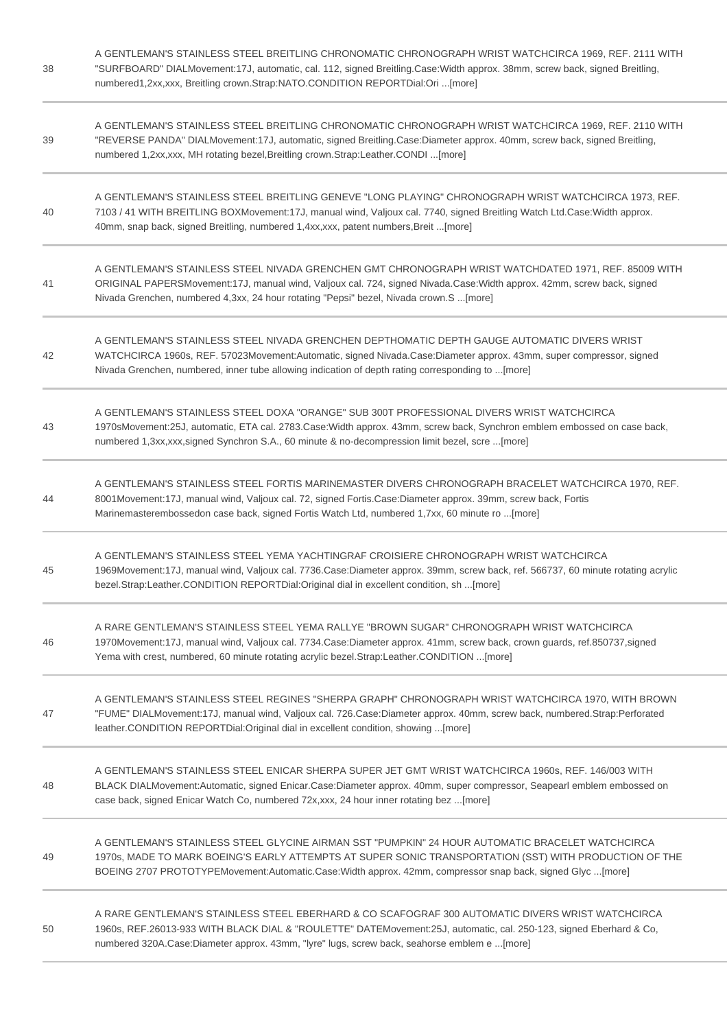| 38 | A GENTLEMAN'S STAINLESS STEEL BREITLING CHRONOMATIC CHRONOGRAPH WRIST WATCHCIRCA 1969, REF. 2111 WITH<br>"SURFBOARD" DIALMovement:17J, automatic, cal. 112, signed Breitling.Case:Width approx. 38mm, screw back, signed Breitling,<br>numbered1,2xx,xxx, Breitling crown.Strap:NATO.CONDITION REPORTDial:Ori [more]      |
|----|---------------------------------------------------------------------------------------------------------------------------------------------------------------------------------------------------------------------------------------------------------------------------------------------------------------------------|
| 39 | A GENTLEMAN'S STAINLESS STEEL BREITLING CHRONOMATIC CHRONOGRAPH WRIST WATCHCIRCA 1969. REF. 2110 WITH<br>"REVERSE PANDA" DIALMovement:17J, automatic, signed Breitling.Case:Diameter approx. 40mm, screw back, signed Breitling,<br>numbered 1,2xx,xxx, MH rotating bezel, Breitling crown.Strap:Leather.CONDI [more]     |
| 40 | A GENTLEMAN'S STAINLESS STEEL BREITLING GENEVE "LONG PLAYING" CHRONOGRAPH WRIST WATCHCIRCA 1973, REF.<br>7103 / 41 WITH BREITLING BOXMovement:17J, manual wind, Valjoux cal. 7740, signed Breitling Watch Ltd.Case: Width approx.<br>40mm, snap back, signed Breitling, numbered 1,4xx,xxx, patent numbers, Breit  [more] |
| 41 | A GENTLEMAN'S STAINLESS STEEL NIVADA GRENCHEN GMT CHRONOGRAPH WRIST WATCHDATED 1971, REF. 85009 WITH<br>ORIGINAL PAPERSMovement:17J, manual wind, Valjoux cal. 724, signed Nivada.Case:Width approx. 42mm, screw back, signed<br>Nivada Grenchen, numbered 4,3xx, 24 hour rotating "Pepsi" bezel, Nivada crown.S [more]   |
| 42 | A GENTLEMAN'S STAINLESS STEEL NIVADA GRENCHEN DEPTHOMATIC DEPTH GAUGE AUTOMATIC DIVERS WRIST<br>WATCHCIRCA 1960s, REF. 57023Movement:Automatic, signed Nivada.Case:Diameter approx. 43mm, super compressor, signed<br>Nivada Grenchen, numbered, inner tube allowing indication of depth rating corresponding to [more]   |
| 43 | A GENTLEMAN'S STAINLESS STEEL DOXA "ORANGE" SUB 300T PROFESSIONAL DIVERS WRIST WATCHCIRCA<br>1970sMovement:25J, automatic, ETA cal. 2783.Case:Width approx. 43mm, screw back, Synchron emblem embossed on case back,<br>numbered 1,3xx,xxx,signed Synchron S.A., 60 minute & no-decompression limit bezel, scre [more]    |
| 44 | A GENTLEMAN'S STAINLESS STEEL FORTIS MARINEMASTER DIVERS CHRONOGRAPH BRACELET WATCHCIRCA 1970, REF.<br>8001Movement:17J, manual wind, Valjoux cal. 72, signed Fortis.Case:Diameter approx. 39mm, screw back, Fortis<br>Marinemasterembossedon case back, signed Fortis Watch Ltd, numbered 1,7xx, 60 minute ro [more]     |
| 45 | A GENTLEMAN'S STAINLESS STEEL YEMA YACHTINGRAF CROISIERE CHRONOGRAPH WRIST WATCHCIRCA<br>1969Movement:17J, manual wind, Valjoux cal. 7736.Case:Diameter approx. 39mm, screw back, ref. 566737, 60 minute rotating acrylic<br>bezel.Strap:Leather.CONDITION REPORTDial:Original dial in excellent condition, sh [more]     |
| 46 | A RARE GENTLEMAN'S STAINLESS STEEL YEMA RALLYE "BROWN SUGAR" CHRONOGRAPH WRIST WATCHCIRCA<br>1970Movement:17J, manual wind, Valjoux cal. 7734.Case:Diameter approx. 41mm, screw back, crown guards, ref.850737,signed<br>Yema with crest, numbered, 60 minute rotating acrylic bezel.Strap:Leather.CONDITION [more]       |
| 47 | A GENTLEMAN'S STAINLESS STEEL REGINES "SHERPA GRAPH" CHRONOGRAPH WRIST WATCHCIRCA 1970, WITH BROWN<br>"FUME" DIALMovement:17J, manual wind, Valjoux cal. 726.Case:Diameter approx. 40mm, screw back, numbered.Strap:Perforated<br>leather.CONDITION REPORTDial:Original dial in excellent condition, showing [more]       |
| 48 | A GENTLEMAN'S STAINLESS STEEL ENICAR SHERPA SUPER JET GMT WRIST WATCHCIRCA 1960s, REF. 146/003 WITH<br>BLACK DIALMovement: Automatic, signed Enicar.Case: Diameter approx. 40mm, super compressor, Seapearl emblem embossed on<br>case back, signed Enicar Watch Co, numbered 72x,xxx, 24 hour inner rotating bez  [more] |
| 49 | A GENTLEMAN'S STAINLESS STEEL GLYCINE AIRMAN SST "PUMPKIN" 24 HOUR AUTOMATIC BRACELET WATCHCIRCA<br>1970s, MADE TO MARK BOEING'S EARLY ATTEMPTS AT SUPER SONIC TRANSPORTATION (SST) WITH PRODUCTION OF THE<br>BOEING 2707 PROTOTYPEMovement:Automatic.Case:Width approx. 42mm, compressor snap back, signed Glyc [more]   |
| 50 | A RARE GENTLEMAN'S STAINLESS STEEL EBERHARD & CO SCAFOGRAF 300 AUTOMATIC DIVERS WRIST WATCHCIRCA<br>1960s, REF.26013-933 WITH BLACK DIAL & "ROULETTE" DATEMovement:25J, automatic, cal. 250-123, signed Eberhard & Co,<br>numbered 320A.Case:Diameter approx. 43mm, "lyre" lugs, screw back, seahorse emblem e [more]     |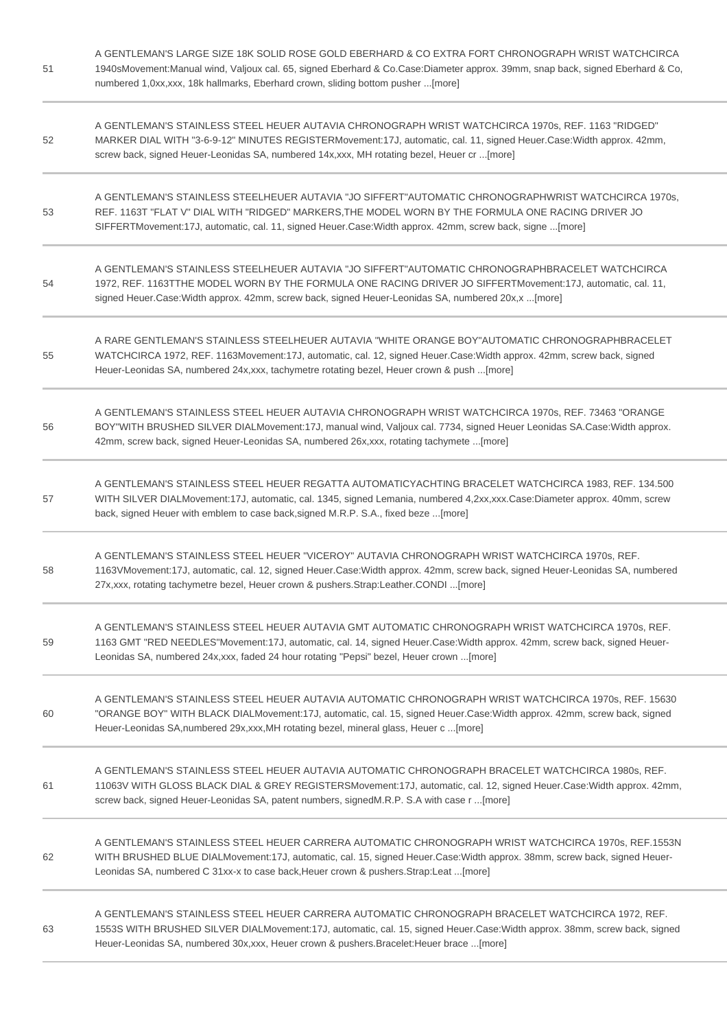| 51 | A GENTLEMAN'S LARGE SIZE 18K SOLID ROSE GOLD EBERHARD & CO EXTRA FORT CHRONOGRAPH WRIST WATCHCIRCA<br>1940sMovement: Manual wind, Valjoux cal. 65, signed Eberhard & Co.Case: Diameter approx. 39mm, snap back, signed Eberhard & Co.<br>numbered 1,0xx,xxx, 18k hallmarks, Eberhard crown, sliding bottom pusher [more]   |
|----|----------------------------------------------------------------------------------------------------------------------------------------------------------------------------------------------------------------------------------------------------------------------------------------------------------------------------|
| 52 | A GENTLEMAN'S STAINLESS STEEL HEUER AUTAVIA CHRONOGRAPH WRIST WATCHCIRCA 1970s, REF. 1163 "RIDGED"<br>MARKER DIAL WITH "3-6-9-12" MINUTES REGISTERMovement:17J, automatic, cal. 11, signed Heuer.Case: Width approx. 42mm,<br>screw back, signed Heuer-Leonidas SA, numbered 14x,xxx, MH rotating bezel, Heuer cr  [more]  |
| 53 | A GENTLEMAN'S STAINLESS STEELHEUER AUTAVIA "JO SIFFERT"AUTOMATIC CHRONOGRAPHWRIST WATCHCIRCA 1970s.<br>REF. 1163T "FLAT V" DIAL WITH "RIDGED" MARKERS, THE MODEL WORN BY THE FORMULA ONE RACING DRIVER JO<br>SIFFERTMovement:17J, automatic, cal. 11, signed Heuer.Case: Width approx. 42mm, screw back, signe [more]      |
| 54 | A GENTLEMAN'S STAINLESS STEELHEUER AUTAVIA "JO SIFFERT"AUTOMATIC CHRONOGRAPHBRACELET WATCHCIRCA<br>1972, REF. 1163TTHE MODEL WORN BY THE FORMULA ONE RACING DRIVER JO SIFFERTMovement:17J, automatic, cal. 11,<br>signed Heuer.Case: Width approx. 42mm, screw back, signed Heuer-Leonidas SA, numbered 20x,x  [more]      |
| 55 | A RARE GENTLEMAN'S STAINLESS STEELHEUER AUTAVIA "WHITE ORANGE BOY"AUTOMATIC CHRONOGRAPHBRACELET<br>WATCHCIRCA 1972, REF. 1163Movement:17J, automatic, cal. 12, signed Heuer.Case:Width approx. 42mm, screw back, signed<br>Heuer-Leonidas SA, numbered 24x,xxx, tachymetre rotating bezel, Heuer crown & push [more]       |
| 56 | A GENTLEMAN'S STAINLESS STEEL HEUER AUTAVIA CHRONOGRAPH WRIST WATCHCIRCA 1970s, REF. 73463 "ORANGE<br>BOY"WITH BRUSHED SILVER DIALMovement:17J, manual wind, Valjoux cal. 7734, signed Heuer Leonidas SA.Case: Width approx.<br>42mm, screw back, signed Heuer-Leonidas SA, numbered 26x,xxx, rotating tachymete [more]    |
| 57 | A GENTLEMAN'S STAINLESS STEEL HEUER REGATTA AUTOMATICYACHTING BRACELET WATCHCIRCA 1983, REF. 134.500<br>WITH SILVER DIALMovement:17J, automatic, cal. 1345, signed Lemania, numbered 4,2xx,xxx.Case:Diameter approx. 40mm, screw<br>back, signed Heuer with emblem to case back, signed M.R.P. S.A., fixed beze [more]     |
| 58 | A GENTLEMAN'S STAINLESS STEEL HEUER "VICEROY" AUTAVIA CHRONOGRAPH WRIST WATCHCIRCA 1970s, REF.<br>1163VMovement:17J, automatic, cal. 12, signed Heuer.Case:Width approx. 42mm, screw back, signed Heuer-Leonidas SA, numbered<br>27x, xxx, rotating tachymetre bezel, Heuer crown & pushers. Strap: Leather. CONDI  [more] |
| 59 | A GENTLEMAN'S STAINLESS STEEL HEUER AUTAVIA GMT AUTOMATIC CHRONOGRAPH WRIST WATCHCIRCA 1970s, REF.<br>1163 GMT "RED NEEDLES"Movement:17J, automatic, cal. 14, signed Heuer.Case: Width approx. 42mm, screw back, signed Heuer-<br>Leonidas SA, numbered 24x,xxx, faded 24 hour rotating "Pepsi" bezel, Heuer crown [more]  |
| 60 | A GENTLEMAN'S STAINLESS STEEL HEUER AUTAVIA AUTOMATIC CHRONOGRAPH WRIST WATCHCIRCA 1970s, REF. 15630<br>"ORANGE BOY" WITH BLACK DIALMovement:17J, automatic, cal. 15, signed Heuer.Case:Width approx. 42mm, screw back, signed<br>Heuer-Leonidas SA, numbered 29x, xxx, MH rotating bezel, mineral glass, Heuer c  [more]  |
| 61 | A GENTLEMAN'S STAINLESS STEEL HEUER AUTAVIA AUTOMATIC CHRONOGRAPH BRACELET WATCHCIRCA 1980s, REF.<br>11063V WITH GLOSS BLACK DIAL & GREY REGISTERSMovement:17J, automatic, cal. 12, signed Heuer.Case:Width approx. 42mm,<br>screw back, signed Heuer-Leonidas SA, patent numbers, signedM.R.P. S.A with case r [more]     |
| 62 | A GENTLEMAN'S STAINLESS STEEL HEUER CARRERA AUTOMATIC CHRONOGRAPH WRIST WATCHCIRCA 1970s, REF.1553N<br>WITH BRUSHED BLUE DIALMovement:17J, automatic, cal. 15, signed Heuer.Case: Width approx. 38mm, screw back, signed Heuer-<br>Leonidas SA, numbered C 31xx-x to case back, Heuer crown & pushers. Strap: Leat  [more] |
| 63 | A GENTLEMAN'S STAINLESS STEEL HEUER CARRERA AUTOMATIC CHRONOGRAPH BRACELET WATCHCIRCA 1972, REF.<br>1553S WITH BRUSHED SILVER DIALMovement:17J, automatic, cal. 15, signed Heuer.Case:Width approx. 38mm, screw back, signed<br>Heuer-Leonidas SA, numbered 30x, xxx, Heuer crown & pushers. Bracelet: Heuer brace  [more] |

 $\sim$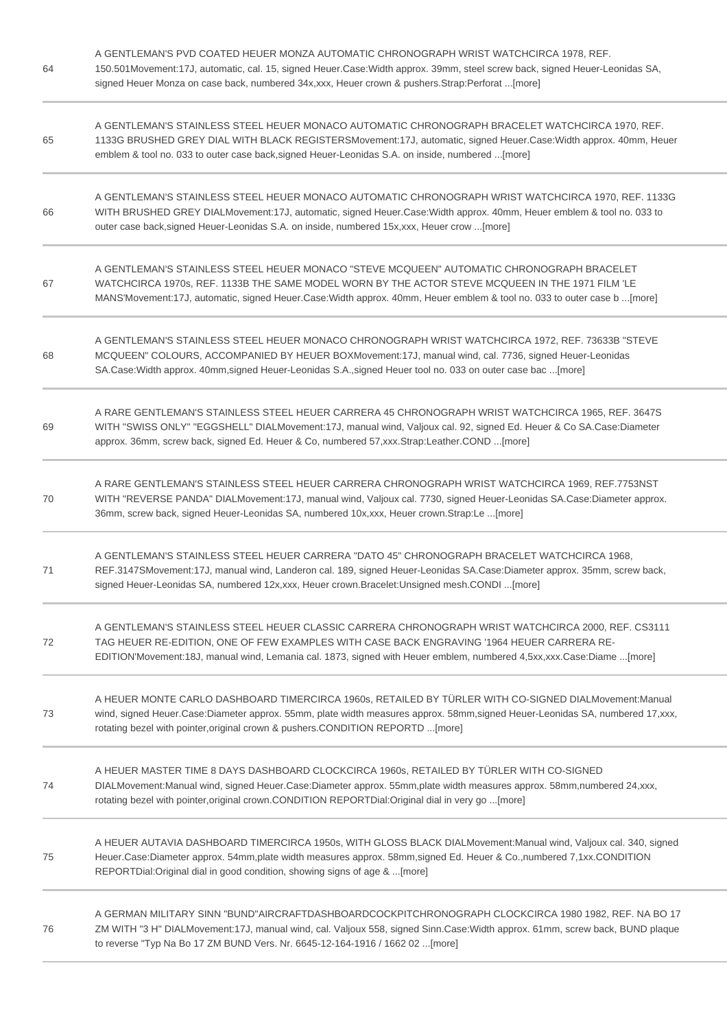| 64 | A GENTLEMAN'S PVD COATED HEUER MONZA AUTOMATIC CHRONOGRAPH WRIST WATCHCIRCA 1978, REF.<br>150.501Movement:17J, automatic, cal. 15, signed Heuer.Case:Width approx. 39mm, steel screw back, signed Heuer-Leonidas SA,<br>signed Heuer Monza on case back, numbered 34x, xxx, Heuer crown & pushers. Strap: Perforat  [more]  |
|----|-----------------------------------------------------------------------------------------------------------------------------------------------------------------------------------------------------------------------------------------------------------------------------------------------------------------------------|
| 65 | A GENTLEMAN'S STAINLESS STEEL HEUER MONACO AUTOMATIC CHRONOGRAPH BRACELET WATCHCIRCA 1970, REF.<br>1133G BRUSHED GREY DIAL WITH BLACK REGISTERSMovement:17J, automatic, signed Heuer.Case:Width approx. 40mm, Heuer<br>emblem & tool no. 033 to outer case back, signed Heuer-Leonidas S.A. on inside, numbered  [more]     |
| 66 | A GENTLEMAN'S STAINLESS STEEL HEUER MONACO AUTOMATIC CHRONOGRAPH WRIST WATCHCIRCA 1970, REF. 1133G<br>WITH BRUSHED GREY DIALMovement:17J, automatic, signed Heuer.Case: Width approx. 40mm, Heuer emblem & tool no. 033 to<br>outer case back, signed Heuer-Leonidas S.A. on inside, numbered 15x, xxx, Heuer crow  [more]  |
| 67 | A GENTLEMAN'S STAINLESS STEEL HEUER MONACO "STEVE MCQUEEN" AUTOMATIC CHRONOGRAPH BRACELET<br>WATCHCIRCA 1970s, REF. 1133B THE SAME MODEL WORN BY THE ACTOR STEVE MCQUEEN IN THE 1971 FILM 'LE<br>MANS'Movement:17J, automatic, signed Heuer.Case:Width approx. 40mm, Heuer emblem & tool no. 033 to outer case b [more]     |
| 68 | A GENTLEMAN'S STAINLESS STEEL HEUER MONACO CHRONOGRAPH WRIST WATCHCIRCA 1972, REF. 73633B "STEVE<br>MCQUEEN" COLOURS, ACCOMPANIED BY HEUER BOXMovement:17J, manual wind, cal. 7736, signed Heuer-Leonidas<br>SA.Case:Width approx. 40mm,signed Heuer-Leonidas S.A., signed Heuer tool no. 033 on outer case bac [more]      |
| 69 | A RARE GENTLEMAN'S STAINLESS STEEL HEUER CARRERA 45 CHRONOGRAPH WRIST WATCHCIRCA 1965, REF. 3647S<br>WITH "SWISS ONLY" "EGGSHELL" DIALMovement:17J, manual wind, Valjoux cal. 92, signed Ed. Heuer & Co SA.Case:Diameter<br>approx. 36mm, screw back, signed Ed. Heuer & Co, numbered 57, xxx. Strap: Leather. COND  [more] |
| 70 | A RARE GENTLEMAN'S STAINLESS STEEL HEUER CARRERA CHRONOGRAPH WRIST WATCHCIRCA 1969, REF.7753NST<br>WITH "REVERSE PANDA" DIALMovement:17J, manual wind, Valjoux cal. 7730, signed Heuer-Leonidas SA.Case:Diameter approx.<br>36mm, screw back, signed Heuer-Leonidas SA, numbered 10x,xxx, Heuer crown.Strap:Le [more]       |
| 71 | A GENTLEMAN'S STAINLESS STEEL HEUER CARRERA "DATO 45" CHRONOGRAPH BRACELET WATCHCIRCA 1968,<br>REF.3147SMovement:17J, manual wind, Landeron cal. 189, signed Heuer-Leonidas SA.Case:Diameter approx. 35mm, screw back,<br>signed Heuer-Leonidas SA, numbered 12x, xxx, Heuer crown. Bracelet: Unsigned mesh. CONDI  [more]  |
| 72 | A GENTLEMAN'S STAINLESS STEEL HEUER CLASSIC CARRERA CHRONOGRAPH WRIST WATCHCIRCA 2000, REF. CS3111<br>TAG HEUER RE-EDITION, ONE OF FEW EXAMPLES WITH CASE BACK ENGRAVING '1964 HEUER CARRERA RE-<br>EDITION'Movement:18J, manual wind, Lemania cal. 1873, signed with Heuer emblem, numbered 4,5xx,xxx.Case:Diame [more]    |
| 73 | A HEUER MONTE CARLO DASHBOARD TIMERCIRCA 1960s, RETAILED BY TÜRLER WITH CO-SIGNED DIALMovement: Manual<br>wind, signed Heuer.Case:Diameter approx. 55mm, plate width measures approx. 58mm,signed Heuer-Leonidas SA, numbered 17,xxx,<br>rotating bezel with pointer, original crown & pushers.CONDITION REPORTD  [more]    |
| 74 | A HEUER MASTER TIME 8 DAYS DASHBOARD CLOCKCIRCA 1960s, RETAILED BY TÜRLER WITH CO-SIGNED<br>DIALMovement:Manual wind, signed Heuer.Case:Diameter approx. 55mm,plate width measures approx. 58mm,numbered 24,xxx,<br>rotating bezel with pointer, original crown.CONDITION REPORTDial: Original dial in very go  [more]      |
| 75 | A HEUER AUTAVIA DASHBOARD TIMERCIRCA 1950s, WITH GLOSS BLACK DIALMovement:Manual wind, Valjoux cal. 340, signed<br>Heuer.Case:Diameter approx. 54mm,plate width measures approx. 58mm,signed Ed. Heuer & Co.,numbered 7,1xx.CONDITION<br>REPORTDial:Original dial in good condition, showing signs of age & [more]          |
| 76 | A GERMAN MILITARY SINN "BUND"AIRCRAFTDASHBOARDCOCKPITCHRONOGRAPH CLOCKCIRCA 1980 1982, REF. NA BO 17<br>ZM WITH "3 H" DIALMovement:17J, manual wind, cal. Valjoux 558, signed Sinn.Case:Width approx. 61mm, screw back, BUND plaque<br>to reverse "Typ Na Bo 17 ZM BUND Vers. Nr. 6645-12-164-1916 / 1662 02 [more]         |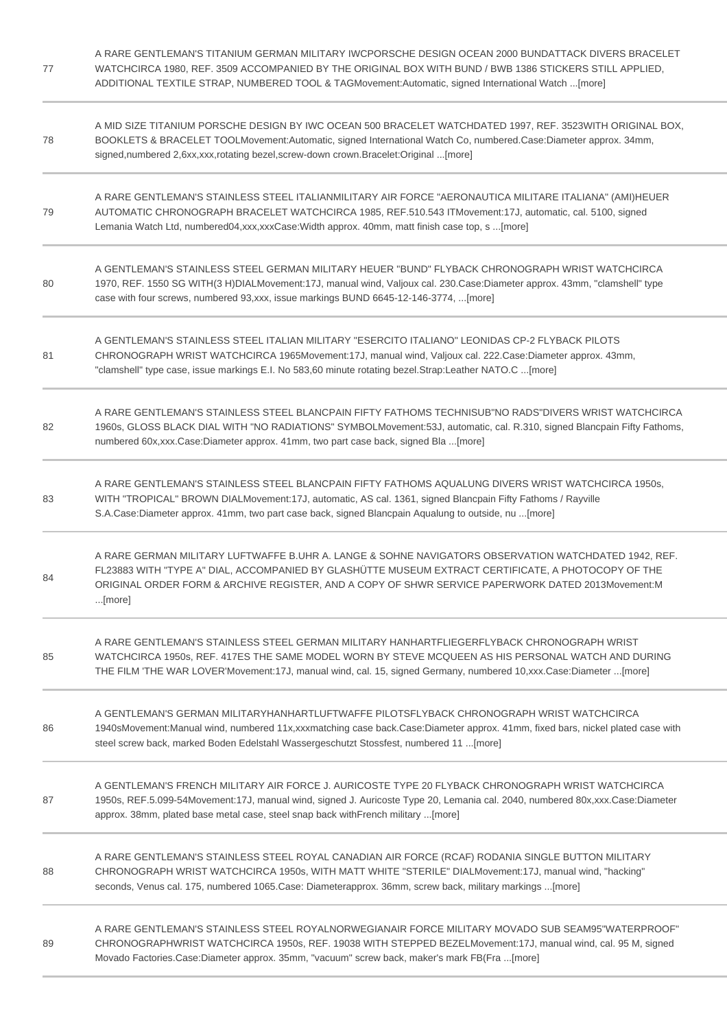| 77 | A RARE GENTLEMAN'S TITANIUM GERMAN MILITARY IWCPORSCHE DESIGN OCEAN 2000 BUNDATTACK DIVERS BRACELET<br>WATCHCIRCA 1980, REF. 3509 ACCOMPANIED BY THE ORIGINAL BOX WITH BUND / BWB 1386 STICKERS STILL APPLIED,<br>ADDITIONAL TEXTILE STRAP, NUMBERED TOOL & TAGMovement:Automatic, signed International Watch [more]       |
|----|----------------------------------------------------------------------------------------------------------------------------------------------------------------------------------------------------------------------------------------------------------------------------------------------------------------------------|
| 78 | A MID SIZE TITANIUM PORSCHE DESIGN BY IWC OCEAN 500 BRACELET WATCHDATED 1997, REF. 3523WITH ORIGINAL BOX,<br>BOOKLETS & BRACELET TOOLMovement:Automatic, signed International Watch Co, numbered.Case:Diameter approx. 34mm,<br>signed,numbered 2,6xx,xxx,rotating bezel,screw-down crown.Bracelet:Original [more]         |
| 79 | A RARE GENTLEMAN'S STAINLESS STEEL ITALIANMILITARY AIR FORCE "AERONAUTICA MILITARE ITALIANA" (AMI)HEUER<br>AUTOMATIC CHRONOGRAPH BRACELET WATCHCIRCA 1985, REF.510.543 ITMovement:17J, automatic, cal. 5100, signed<br>Lemania Watch Ltd, numbered04,xxx,xxxCase: Width approx. 40mm, matt finish case top, s  [more]      |
| 80 | A GENTLEMAN'S STAINLESS STEEL GERMAN MILITARY HEUER "BUND" FLYBACK CHRONOGRAPH WRIST WATCHCIRCA<br>1970, REF. 1550 SG WITH(3 H)DIALMovement:17J, manual wind, Valjoux cal. 230.Case:Diameter approx. 43mm, "clamshell" type<br>case with four screws, numbered 93, xxx, issue markings BUND 6645-12-146-3774,  [more]      |
| 81 | A GENTLEMAN'S STAINLESS STEEL ITALIAN MILITARY "ESERCITO ITALIANO" LEONIDAS CP-2 FLYBACK PILOTS<br>CHRONOGRAPH WRIST WATCHCIRCA 1965Movement:17J, manual wind, Valjoux cal. 222.Case:Diameter approx. 43mm,<br>"clamshell" type case, issue markings E.I. No 583,60 minute rotating bezel.Strap:Leather NATO.C [more]      |
| 82 | A RARE GENTLEMAN'S STAINLESS STEEL BLANCPAIN FIFTY FATHOMS TECHNISUB"NO RADS"DIVERS WRIST WATCHCIRCA<br>1960s, GLOSS BLACK DIAL WITH "NO RADIATIONS" SYMBOLMovement:53J, automatic, cal. R.310, signed Blancpain Fifty Fathoms,<br>numbered 60x, xxx. Case: Diameter approx. 41mm, two part case back, signed Bla  [more]  |
| 83 | A RARE GENTLEMAN'S STAINLESS STEEL BLANCPAIN FIFTY FATHOMS AQUALUNG DIVERS WRIST WATCHCIRCA 1950s,<br>WITH "TROPICAL" BROWN DIALMovement:17J, automatic, AS cal. 1361, signed Blancpain Fifty Fathoms / Rayville<br>S.A.Case:Diameter approx. 41mm, two part case back, signed Blancpain Aqualung to outside, nu [more]    |
| 84 | A RARE GERMAN MILITARY LUFTWAFFE B.UHR A. LANGE & SOHNE NAVIGATORS OBSERVATION WATCHDATED 1942, REF.<br>FL23883 WITH "TYPE A" DIAL, ACCOMPANIED BY GLASHÜTTE MUSEUM EXTRACT CERTIFICATE, A PHOTOCOPY OF THE<br>ORIGINAL ORDER FORM & ARCHIVE REGISTER, AND A COPY OF SHWR SERVICE PAPERWORK DATED 2013Movement:M<br>[more] |
| 85 | A RARE GENTLEMAN'S STAINLESS STEEL GERMAN MILITARY HANHARTFLIEGERFLYBACK CHRONOGRAPH WRIST<br>WATCHCIRCA 1950s, REF. 417ES THE SAME MODEL WORN BY STEVE MCQUEEN AS HIS PERSONAL WATCH AND DURING<br>THE FILM 'THE WAR LOVER'Movement:17J, manual wind, cal. 15, signed Germany, numbered 10,xxx.Case:Diameter [more]       |
| 86 | A GENTLEMAN'S GERMAN MILITARYHANHARTLUFTWAFFE PILOTSFLYBACK CHRONOGRAPH WRIST WATCHCIRCA<br>1940sMovement:Manual wind, numbered 11x,xxxmatching case back.Case:Diameter approx. 41mm, fixed bars, nickel plated case with<br>steel screw back, marked Boden Edelstahl Wassergeschutzt Stossfest, numbered 11  [more]       |
| 87 | A GENTLEMAN'S FRENCH MILITARY AIR FORCE J. AURICOSTE TYPE 20 FLYBACK CHRONOGRAPH WRIST WATCHCIRCA<br>1950s, REF.5.099-54Movement:17J, manual wind, signed J. Auricoste Type 20, Lemania cal. 2040, numbered 80x,xxx.Case:Diameter<br>approx. 38mm, plated base metal case, steel snap back with French military  [more]    |
| 88 | A RARE GENTLEMAN'S STAINLESS STEEL ROYAL CANADIAN AIR FORCE (RCAF) RODANIA SINGLE BUTTON MILITARY<br>CHRONOGRAPH WRIST WATCHCIRCA 1950s, WITH MATT WHITE "STERILE" DIALMovement:17J, manual wind, "hacking"<br>seconds, Venus cal. 175, numbered 1065.Case: Diameterapprox. 36mm, screw back, military markings [more]     |
| 89 | "A RARE GENTLEMAN'S STAINLESS STEEL ROYALNORWEGIANAIR FORCE MILITARY MOVADO SUB SEAM95"WATERPROOF<br>CHRONOGRAPHWRIST WATCHCIRCA 1950s, REF. 19038 WITH STEPPED BEZELMovement:17J, manual wind, cal. 95 M, signed<br>Movado Factories.Case:Diameter approx. 35mm, "vacuum" screw back, maker's mark FB(Fra [more]          |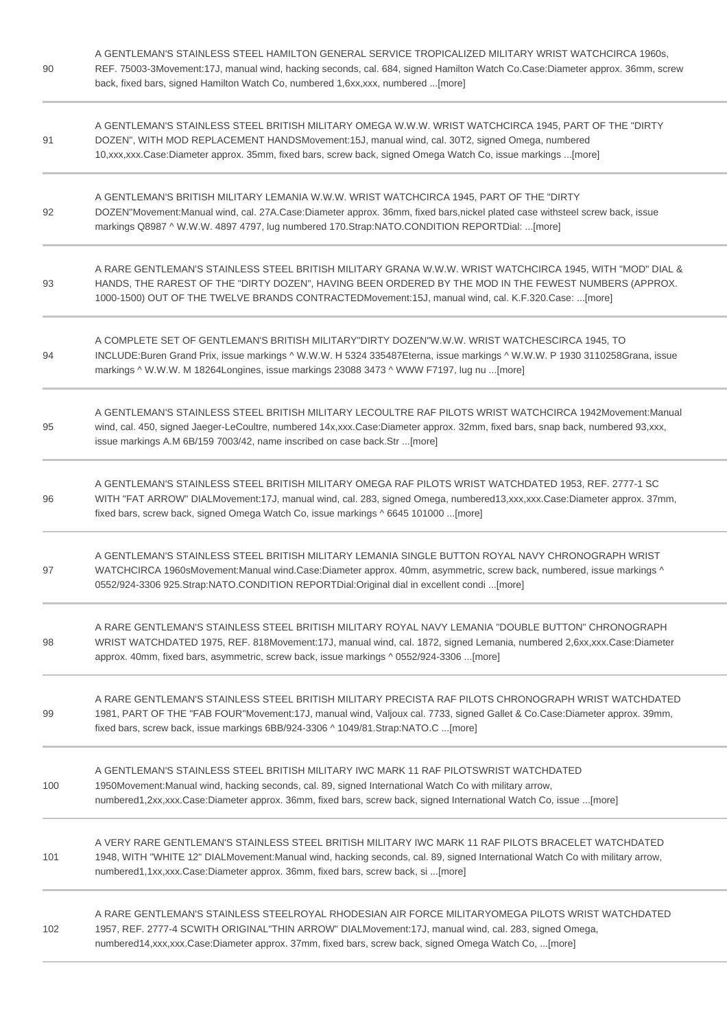| 90  | A GENTLEMAN'S STAINLESS STEEL HAMILTON GENERAL SERVICE TROPICALIZED MILITARY WRIST WATCHCIRCA 1960s,<br>REF. 75003-3Movement:17J, manual wind, hacking seconds, cal. 684, signed Hamilton Watch Co.Case:Diameter approx. 36mm, screw<br>back, fixed bars, signed Hamilton Watch Co, numbered 1,6xx,xxx, numbered  [more]   |
|-----|----------------------------------------------------------------------------------------------------------------------------------------------------------------------------------------------------------------------------------------------------------------------------------------------------------------------------|
| 91  | A GENTLEMAN'S STAINLESS STEEL BRITISH MILITARY OMEGA W.W.W. WRIST WATCHCIRCA 1945, PART OF THE "DIRTY<br>DOZEN", WITH MOD REPLACEMENT HANDSMovement:15J, manual wind, cal. 30T2, signed Omega, numbered<br>10, xxx, xxx. Case: Diameter approx. 35mm, fixed bars, screw back, signed Omega Watch Co, issue markings [more] |
| 92  | A GENTLEMAN'S BRITISH MILITARY LEMANIA W.W.W. WRIST WATCHCIRCA 1945, PART OF THE "DIRTY<br>DOZEN"Movement:Manual wind, cal. 27A.Case:Diameter approx. 36mm, fixed bars,nickel plated case withsteel screw back, issue<br>markings Q8987 ^ W.W.W. 4897 4797, lug numbered 170.Strap:NATO.CONDITION REPORTDial: [more]       |
| 93  | A RARE GENTLEMAN'S STAINLESS STEEL BRITISH MILITARY GRANA W.W.W. WRIST WATCHCIRCA 1945, WITH "MOD" DIAL &<br>HANDS, THE RAREST OF THE "DIRTY DOZEN", HAVING BEEN ORDERED BY THE MOD IN THE FEWEST NUMBERS (APPROX.<br>1000-1500) OUT OF THE TWELVE BRANDS CONTRACTEDMovement:15J, manual wind, cal. K.F.320.Case: [more]   |
| 94  | A COMPLETE SET OF GENTLEMAN'S BRITISH MILITARY"DIRTY DOZEN"W.W.W. WRIST WATCHESCIRCA 1945, TO<br>INCLUDE:Buren Grand Prix, issue markings ^ W.W.W. H 5324 335487Eterna, issue markings ^ W.W.W. P 1930 3110258Grana, issue<br>markings ^ W.W.W. M 18264Longines, issue markings 23088 3473 ^ WWW F7197, lug nu [more]      |
| 95  | A GENTLEMAN'S STAINLESS STEEL BRITISH MILITARY LECOULTRE RAF PILOTS WRIST WATCHCIRCA 1942Movement: Manual<br>wind, cal. 450, signed Jaeger-LeCoultre, numbered 14x,xxx.Case:Diameter approx. 32mm, fixed bars, snap back, numbered 93,xxx,<br>issue markings A.M 6B/159 7003/42, name inscribed on case back.Str [more]    |
| 96  | A GENTLEMAN'S STAINLESS STEEL BRITISH MILITARY OMEGA RAF PILOTS WRIST WATCHDATED 1953, REF. 2777-1 SC<br>WITH "FAT ARROW" DIALMovement:17J, manual wind, cal. 283, signed Omega, numbered13,xxx,xxx.Case:Diameter approx. 37mm,<br>fixed bars, screw back, signed Omega Watch Co, issue markings ^ 6645 101000 [more]      |
| 97  | A GENTLEMAN'S STAINLESS STEEL BRITISH MILITARY LEMANIA SINGLE BUTTON ROYAL NAVY CHRONOGRAPH WRIST<br>WATCHCIRCA 1960sMovement:Manual wind.Case:Diameter approx. 40mm, asymmetric, screw back, numbered, issue markings ^<br>0552/924-3306 925.Strap:NATO.CONDITION REPORTDial:Original dial in excellent condi [more]      |
| 98  | A RARE GENTLEMAN'S STAINLESS STEEL BRITISH MILITARY ROYAL NAVY LEMANIA "DOUBLE BUTTON" CHRONOGRAPH<br>WRIST WATCHDATED 1975, REF. 818Movement:17J, manual wind, cal. 1872, signed Lemania, numbered 2,6xx,xxx.Case:Diameter<br>approx. 40mm, fixed bars, asymmetric, screw back, issue markings ^ 0552/924-3306 [more]     |
| 99  | A RARE GENTLEMAN'S STAINLESS STEEL BRITISH MILITARY PRECISTA RAF PILOTS CHRONOGRAPH WRIST WATCHDATED<br>1981, PART OF THE "FAB FOUR"Movement:17J, manual wind, Valjoux cal. 7733, signed Gallet & Co.Case:Diameter approx. 39mm,<br>fixed bars, screw back, issue markings 6BB/924-3306 ^ 1049/81.Strap:NATO.C [more]      |
| 100 | A GENTLEMAN'S STAINLESS STEEL BRITISH MILITARY IWC MARK 11 RAF PILOTSWRIST WATCHDATED<br>1950Movement: Manual wind, hacking seconds, cal. 89, signed International Watch Co with military arrow,<br>numbered1,2xx,xxx.Case:Diameter approx. 36mm, fixed bars, screw back, signed International Watch Co, issue [more]      |
| 101 | A VERY RARE GENTLEMAN'S STAINLESS STEEL BRITISH MILITARY IWC MARK 11 RAF PILOTS BRACELET WATCHDATED<br>1948, WITH "WHITE 12" DIALMovement:Manual wind, hacking seconds, cal. 89, signed International Watch Co with military arrow,<br>numbered1,1xx,xxx.Case:Diameter approx. 36mm, fixed bars, screw back, si [more]     |
| 102 | A RARE GENTLEMAN'S STAINLESS STEELROYAL RHODESIAN AIR FORCE MILITARYOMEGA PILOTS WRIST WATCHDATED<br>1957, REF. 2777-4 SCWITH ORIGINAL"THIN ARROW" DIALMovement:17J, manual wind, cal. 283, signed Omega,<br>numbered14,xxx,xxx.Case:Diameter approx. 37mm, fixed bars, screw back, signed Omega Watch Co, [more]          |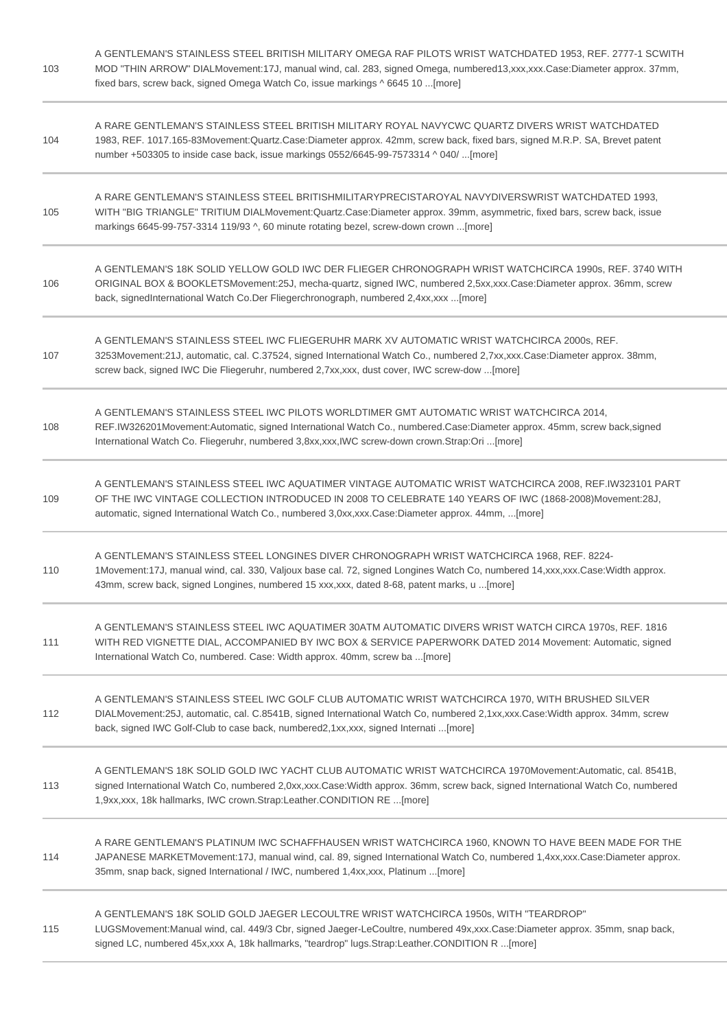| 103 | A GENTLEMAN'S STAINLESS STEEL BRITISH MILITARY OMEGA RAF PILOTS WRIST WATCHDATED 1953, REF. 2777-1 SCWITH<br>MOD "THIN ARROW" DIALMovement:17J, manual wind, cal. 283, signed Omega, numbered13,xxx,xxx.Case:Diameter approx. 37mm,<br>fixed bars, screw back, signed Omega Watch Co, issue markings ^ 6645 10  [more]        |
|-----|-------------------------------------------------------------------------------------------------------------------------------------------------------------------------------------------------------------------------------------------------------------------------------------------------------------------------------|
| 104 | A RARE GENTLEMAN'S STAINLESS STEEL BRITISH MILITARY ROYAL NAVYCWC QUARTZ DIVERS WRIST WATCHDATED<br>1983, REF. 1017.165-83Movement:Quartz.Case:Diameter approx. 42mm, screw back, fixed bars, signed M.R.P. SA, Brevet patent<br>number +503305 to inside case back, issue markings 0552/6645-99-7573314 ^ 040/ [more]        |
| 105 | A RARE GENTLEMAN'S STAINLESS STEEL BRITISHMILITARYPRECISTAROYAL NAVYDIVERSWRIST WATCHDATED 1993,<br>WITH "BIG TRIANGLE" TRITIUM DIALMovement:Quartz.Case:Diameter approx. 39mm, asymmetric, fixed bars, screw back, issue<br>markings 6645-99-757-3314 119/93 ^, 60 minute rotating bezel, screw-down crown [more]            |
| 106 | A GENTLEMAN'S 18K SOLID YELLOW GOLD IWC DER FLIEGER CHRONOGRAPH WRIST WATCHCIRCA 1990s, REF. 3740 WITH<br>ORIGINAL BOX & BOOKLETSMovement:25J, mecha-quartz, signed IWC, numbered 2,5xx,xxx.Case:Diameter approx. 36mm, screw<br>back, signedInternational Watch Co.Der Fliegerchronograph, numbered 2,4xx,xxx  [more]        |
| 107 | A GENTLEMAN'S STAINLESS STEEL IWC FLIEGERUHR MARK XV AUTOMATIC WRIST WATCHCIRCA 2000s, REF.<br>3253Movement:21J, automatic, cal. C.37524, signed International Watch Co., numbered 2,7xx,xxx.Case:Diameter approx. 38mm,<br>screw back, signed IWC Die Fliegeruhr, numbered 2,7xx,xxx, dust cover, IWC screw-dow [more]       |
| 108 | A GENTLEMAN'S STAINLESS STEEL IWC PILOTS WORLDTIMER GMT AUTOMATIC WRIST WATCHCIRCA 2014,<br>REF.IW326201Movement:Automatic, signed International Watch Co., numbered.Case:Diameter approx. 45mm, screw back,signed<br>International Watch Co. Fliegeruhr, numbered 3,8xx,xxx,IWC screw-down crown.Strap:Ori [more]            |
| 109 | A GENTLEMAN'S STAINLESS STEEL IWC AQUATIMER VINTAGE AUTOMATIC WRIST WATCHCIRCA 2008, REF.IW323101 PART<br>OF THE IWC VINTAGE COLLECTION INTRODUCED IN 2008 TO CELEBRATE 140 YEARS OF IWC (1868-2008)Movement:28J,<br>automatic, signed International Watch Co., numbered 3,0xx,xxx.Case:Diameter approx. 44mm, [more]         |
| 110 | A GENTLEMAN'S STAINLESS STEEL LONGINES DIVER CHRONOGRAPH WRIST WATCHCIRCA 1968, REF. 8224-<br>1Movement:17J, manual wind, cal. 330, Valjoux base cal. 72, signed Longines Watch Co, numbered 14, xxx, xxx. Case: Width approx.<br>43mm, screw back, signed Longines, numbered 15 xxx,xxx, dated 8-68, patent marks, u  [more] |
| 111 | A GENTLEMAN'S STAINLESS STEEL IWC AQUATIMER 30ATM AUTOMATIC DIVERS WRIST WATCH CIRCA 1970s, REF. 1816<br>WITH RED VIGNETTE DIAL, ACCOMPANIED BY IWC BOX & SERVICE PAPERWORK DATED 2014 Movement: Automatic, signed<br>International Watch Co, numbered. Case: Width approx. 40mm, screw ba [more]                             |
| 112 | A GENTLEMAN'S STAINLESS STEEL IWC GOLF CLUB AUTOMATIC WRIST WATCHCIRCA 1970, WITH BRUSHED SILVER<br>DIALMovement:25J, automatic, cal. C.8541B, signed International Watch Co, numbered 2,1xx,xxx.Case:Width approx. 34mm, screw<br>back, signed IWC Golf-Club to case back, numbered2,1xx,xxx, signed Internati [more]        |
| 113 | A GENTLEMAN'S 18K SOLID GOLD IWC YACHT CLUB AUTOMATIC WRIST WATCHCIRCA 1970Movement: Automatic, cal. 8541B,<br>signed International Watch Co, numbered 2,0xx,xxx.Case: Width approx. 36mm, screw back, signed International Watch Co, numbered<br>1,9xx,xxx, 18k hallmarks, IWC crown.Strap:Leather.CONDITION RE [more]       |
| 114 | A RARE GENTLEMAN'S PLATINUM IWC SCHAFFHAUSEN WRIST WATCHCIRCA 1960, KNOWN TO HAVE BEEN MADE FOR THE<br>JAPANESE MARKETMovement:17J, manual wind, cal. 89, signed International Watch Co, numbered 1,4xx,xxx.Case:Diameter approx.<br>35mm, snap back, signed International / IWC, numbered 1,4xx,xxx, Platinum [more]         |
| 115 | A GENTLEMAN'S 18K SOLID GOLD JAEGER LECOULTRE WRIST WATCHCIRCA 1950s, WITH "TEARDROP"<br>LUGSMovement: Manual wind, cal. 449/3 Cbr, signed Jaeger-LeCoultre, numbered 49x,xxx.Case: Diameter approx. 35mm, snap back,<br>signed LC, numbered 45x,xxx A, 18k hallmarks, "teardrop" lugs.Strap:Leather.CONDITION R [more]       |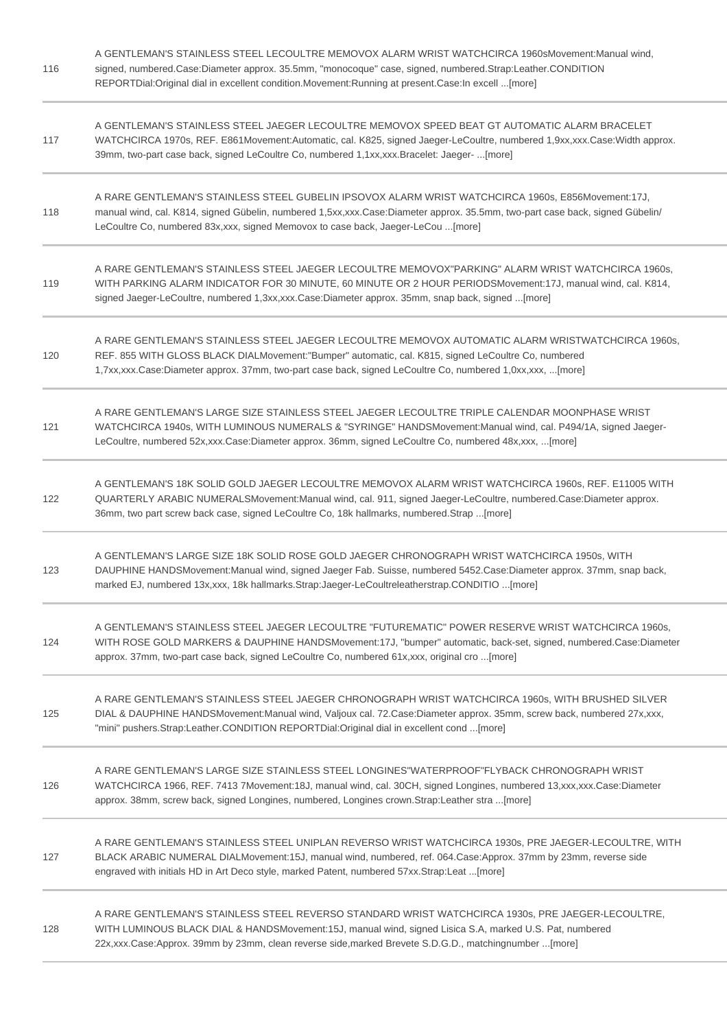| 116 | A GENTLEMAN'S STAINLESS STEEL LECOULTRE MEMOVOX ALARM WRIST WATCHCIRCA 1960sMovement:Manual wind,<br>signed, numbered.Case:Diameter approx. 35.5mm, "monocoque" case, signed, numbered.Strap:Leather.CONDITION<br>REPORTDial:Original dial in excellent condition.Movement:Running at present.Case:In excell [more]         |
|-----|-----------------------------------------------------------------------------------------------------------------------------------------------------------------------------------------------------------------------------------------------------------------------------------------------------------------------------|
| 117 | A GENTLEMAN'S STAINLESS STEEL JAEGER LECOULTRE MEMOVOX SPEED BEAT GT AUTOMATIC ALARM BRACELET<br>WATCHCIRCA 1970s, REF. E861Movement:Automatic, cal. K825, signed Jaeger-LeCoultre, numbered 1,9xx,xxx.Case:Width approx.<br>39mm, two-part case back, signed LeCoultre Co, numbered 1,1xx,xxx.Bracelet: Jaeger- [more]     |
| 118 | A RARE GENTLEMAN'S STAINLESS STEEL GUBELIN IPSOVOX ALARM WRIST WATCHCIRCA 1960s, E856Movement:17J,<br>manual wind, cal. K814, signed Gübelin, numbered 1,5xx,xxx.Case:Diameter approx. 35.5mm, two-part case back, signed Gübelin/<br>LeCoultre Co, numbered 83x, xxx, signed Memovox to case back, Jaeger-LeCou  [more]    |
| 119 | A RARE GENTLEMAN'S STAINLESS STEEL JAEGER LECOULTRE MEMOVOX"PARKING" ALARM WRIST WATCHCIRCA 1960s,<br>WITH PARKING ALARM INDICATOR FOR 30 MINUTE, 60 MINUTE OR 2 HOUR PERIODSMovement:17J, manual wind, cal. K814,<br>signed Jaeger-LeCoultre, numbered 1,3xx,xxx.Case:Diameter approx. 35mm, snap back, signed [more]      |
| 120 | A RARE GENTLEMAN'S STAINLESS STEEL JAEGER LECOULTRE MEMOVOX AUTOMATIC ALARM WRISTWATCHCIRCA 1960s,<br>REF. 855 WITH GLOSS BLACK DIALMovement:"Bumper" automatic, cal. K815, signed LeCoultre Co, numbered<br>1,7xx,xxx.Case:Diameter approx. 37mm, two-part case back, signed LeCoultre Co, numbered 1,0xx,xxx, [more]      |
| 121 | A RARE GENTLEMAN'S LARGE SIZE STAINLESS STEEL JAEGER LECOULTRE TRIPLE CALENDAR MOONPHASE WRIST<br>WATCHCIRCA 1940s, WITH LUMINOUS NUMERALS & "SYRINGE" HANDSMovement: Manual wind, cal. P494/1A, signed Jaeger-<br>LeCoultre, numbered 52x,xxx.Case:Diameter approx. 36mm, signed LeCoultre Co, numbered 48x,xxx, [more]    |
| 122 | A GENTLEMAN'S 18K SOLID GOLD JAEGER LECOULTRE MEMOVOX ALARM WRIST WATCHCIRCA 1960s, REF. E11005 WITH<br>QUARTERLY ARABIC NUMERALSMovement: Manual wind, cal. 911, signed Jaeger-LeCoultre, numbered.Case: Diameter approx.<br>36mm, two part screw back case, signed LeCoultre Co, 18k hallmarks, numbered.Strap [more]     |
| 123 | A GENTLEMAN'S LARGE SIZE 18K SOLID ROSE GOLD JAEGER CHRONOGRAPH WRIST WATCHCIRCA 1950s, WITH<br>DAUPHINE HANDSMovement: Manual wind, signed Jaeger Fab. Suisse, numbered 5452.Case: Diameter approx. 37mm, snap back,<br>marked EJ, numbered 13x, xxx, 18k hallmarks. Strap: Jaeger-LeCoultreleatherstrap. CONDITIO  [more] |
| 124 | A GENTLEMAN'S STAINLESS STEEL JAEGER LECOULTRE "FUTUREMATIC" POWER RESERVE WRIST WATCHCIRCA 1960s,<br>WITH ROSE GOLD MARKERS & DAUPHINE HANDSMovement:17J, "bumper" automatic, back-set, signed, numbered.Case:Diameter<br>approx. 37mm, two-part case back, signed LeCoultre Co, numbered 61x, xxx, original cro  [more]   |
| 125 | A RARE GENTLEMAN'S STAINLESS STEEL JAEGER CHRONOGRAPH WRIST WATCHCIRCA 1960s, WITH BRUSHED SILVER<br>DIAL & DAUPHINE HANDSMovement:Manual wind, Valjoux cal. 72.Case:Diameter approx. 35mm, screw back, numbered 27x,xxx,<br>"mini" pushers.Strap:Leather.CONDITION REPORTDial:Original dial in excellent cond [more]       |
| 126 | A RARE GENTLEMAN'S LARGE SIZE STAINLESS STEEL LONGINES"WATERPROOF"FLYBACK CHRONOGRAPH WRIST<br>WATCHCIRCA 1966, REF. 7413 7Movement:18J, manual wind, cal. 30CH, signed Longines, numbered 13,xxx,xxx.Case:Diameter<br>approx. 38mm, screw back, signed Longines, numbered, Longines crown. Strap: Leather stra  [more]     |
| 127 | A RARE GENTLEMAN'S STAINLESS STEEL UNIPLAN REVERSO WRIST WATCHCIRCA 1930s, PRE JAEGER-LECOULTRE, WITH<br>BLACK ARABIC NUMERAL DIALMovement:15J, manual wind, numbered, ref. 064.Case:Approx. 37mm by 23mm, reverse side<br>engraved with initials HD in Art Deco style, marked Patent, numbered 57xx.Strap:Leat [more]      |
| 128 | A RARE GENTLEMAN'S STAINLESS STEEL REVERSO STANDARD WRIST WATCHCIRCA 1930s, PRE JAEGER-LECOULTRE,<br>WITH LUMINOUS BLACK DIAL & HANDSMovement:15J, manual wind, signed Lisica S.A, marked U.S. Pat, numbered<br>22x,xxx.Case:Approx. 39mm by 23mm, clean reverse side, marked Brevete S.D.G.D., matchingnumber [more]       |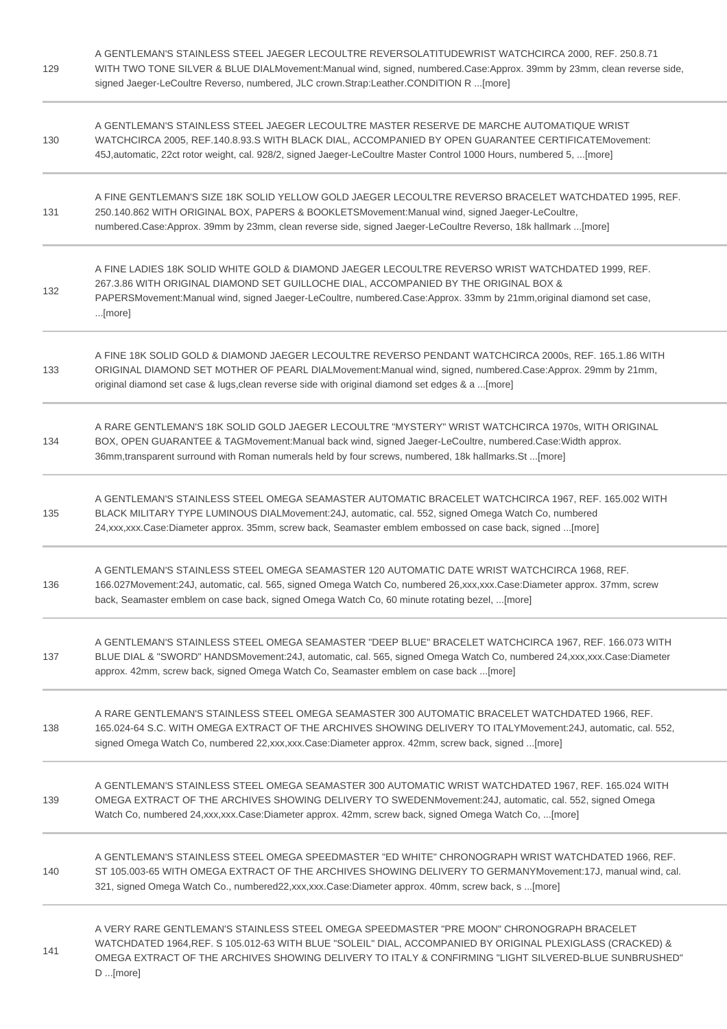| 129 | A GENTLEMAN'S STAINLESS STEEL JAEGER LECOULTRE REVERSOLATITUDEWRIST WATCHCIRCA 2000, REF. 250.8.71<br>WITH TWO TONE SILVER & BLUE DIALMovement:Manual wind, signed, numbered.Case:Approx. 39mm by 23mm, clean reverse side,<br>signed Jaeger-LeCoultre Reverso, numbered, JLC crown.Strap:Leather.CONDITION R [more]         |
|-----|------------------------------------------------------------------------------------------------------------------------------------------------------------------------------------------------------------------------------------------------------------------------------------------------------------------------------|
| 130 | A GENTLEMAN'S STAINLESS STEEL JAEGER LECOULTRE MASTER RESERVE DE MARCHE AUTOMATIQUE WRIST<br>WATCHCIRCA 2005, REF.140.8.93.S WITH BLACK DIAL, ACCOMPANIED BY OPEN GUARANTEE CERTIFICATEMovement:<br>45J, automatic, 22ct rotor weight, cal. 928/2, signed Jaeger-LeCoultre Master Control 1000 Hours, numbered 5, [more]     |
| 131 | A FINE GENTLEMAN'S SIZE 18K SOLID YELLOW GOLD JAEGER LECOULTRE REVERSO BRACELET WATCHDATED 1995, REF.<br>250.140.862 WITH ORIGINAL BOX, PAPERS & BOOKLETSMovement:Manual wind, signed Jaeger-LeCoultre,<br>numbered.Case:Approx. 39mm by 23mm, clean reverse side, signed Jaeger-LeCoultre Reverso, 18k hallmark [more]      |
| 132 | A FINE LADIES 18K SOLID WHITE GOLD & DIAMOND JAEGER LECOULTRE REVERSO WRIST WATCHDATED 1999, REF.<br>267.3.86 WITH ORIGINAL DIAMOND SET GUILLOCHE DIAL, ACCOMPANIED BY THE ORIGINAL BOX &<br>PAPERSMovement:Manual wind, signed Jaeger-LeCoultre, numbered.Case:Approx. 33mm by 21mm,original diamond set case,<br>[more]    |
| 133 | A FINE 18K SOLID GOLD & DIAMOND JAEGER LECOULTRE REVERSO PENDANT WATCHCIRCA 2000s, REF. 165.1.86 WITH<br>ORIGINAL DIAMOND SET MOTHER OF PEARL DIALMovement: Manual wind, signed, numbered.Case: Approx. 29mm by 21mm,<br>original diamond set case & lugs, clean reverse side with original diamond set edges & a  [more]    |
| 134 | A RARE GENTLEMAN'S 18K SOLID GOLD JAEGER LECOULTRE "MYSTERY" WRIST WATCHCIRCA 1970s, WITH ORIGINAL<br>BOX, OPEN GUARANTEE & TAGMovement: Manual back wind, signed Jaeger-LeCoultre, numbered.Case: Width approx.<br>36mm, transparent surround with Roman numerals held by four screws, numbered, 18k hallmarks. St [more]   |
| 135 | A GENTLEMAN'S STAINLESS STEEL OMEGA SEAMASTER AUTOMATIC BRACELET WATCHCIRCA 1967, REF. 165.002 WITH<br>BLACK MILITARY TYPE LUMINOUS DIALMovement:24J, automatic, cal. 552, signed Omega Watch Co, numbered<br>24, xxx, xxx. Case: Diameter approx. 35mm, screw back, Seamaster emblem embossed on case back, signed  [more]  |
| 136 | A GENTLEMAN'S STAINLESS STEEL OMEGA SEAMASTER 120 AUTOMATIC DATE WRIST WATCHCIRCA 1968, REF.<br>166.027Movement:24J, automatic, cal. 565, signed Omega Watch Co, numbered 26,xxx,xxx.Case:Diameter approx. 37mm, screw<br>back, Seamaster emblem on case back, signed Omega Watch Co, 60 minute rotating bezel, [more]       |
| 137 | A GENTLEMAN'S STAINLESS STEEL OMEGA SEAMASTER "DEEP BLUE" BRACELET WATCHCIRCA 1967, REF. 166.073 WITH<br>BLUE DIAL & "SWORD" HANDSMovement:24J, automatic, cal. 565, signed Omega Watch Co, numbered 24,xxx,xxx.Case:Diameter<br>approx. 42mm, screw back, signed Omega Watch Co, Seamaster emblem on case back [more]       |
| 138 | A RARE GENTLEMAN'S STAINLESS STEEL OMEGA SEAMASTER 300 AUTOMATIC BRACELET WATCHDATED 1966, REF.<br>165.024-64 S.C. WITH OMEGA EXTRACT OF THE ARCHIVES SHOWING DELIVERY TO ITALYMovement:24J, automatic, cal. 552,<br>signed Omega Watch Co, numbered 22, xxx, xxx. Case: Diameter approx. 42mm, screw back, signed  [more]   |
| 139 | A GENTLEMAN'S STAINLESS STEEL OMEGA SEAMASTER 300 AUTOMATIC WRIST WATCHDATED 1967, REF. 165.024 WITH<br>OMEGA EXTRACT OF THE ARCHIVES SHOWING DELIVERY TO SWEDENMovement:24J, automatic, cal. 552, signed Omega<br>Watch Co, numbered 24, xxx, xxx. Case: Diameter approx. 42mm, screw back, signed Omega Watch Co,  [more]  |
| 140 | A GENTLEMAN'S STAINLESS STEEL OMEGA SPEEDMASTER "ED WHITE" CHRONOGRAPH WRIST WATCHDATED 1966, REF.<br>ST 105.003-65 WITH OMEGA EXTRACT OF THE ARCHIVES SHOWING DELIVERY TO GERMANYMovement:17J, manual wind, cal.<br>321, signed Omega Watch Co., numbered22,xxx,xxx.Case:Diameter approx. 40mm, screw back, s [more]        |
| 141 | A VERY RARE GENTLEMAN'S STAINLESS STEEL OMEGA SPEEDMASTER "PRE MOON" CHRONOGRAPH BRACELET<br>WATCHDATED 1964, REF. S 105.012-63 WITH BLUE "SOLEIL" DIAL, ACCOMPANIED BY ORIGINAL PLEXIGLASS (CRACKED) &<br>OMEGA EXTRACT OF THE ARCHIVES SHOWING DELIVERY TO ITALY & CONFIRMING "LIGHT SILVERED-BLUE SUNBRUSHED"<br>D [more] |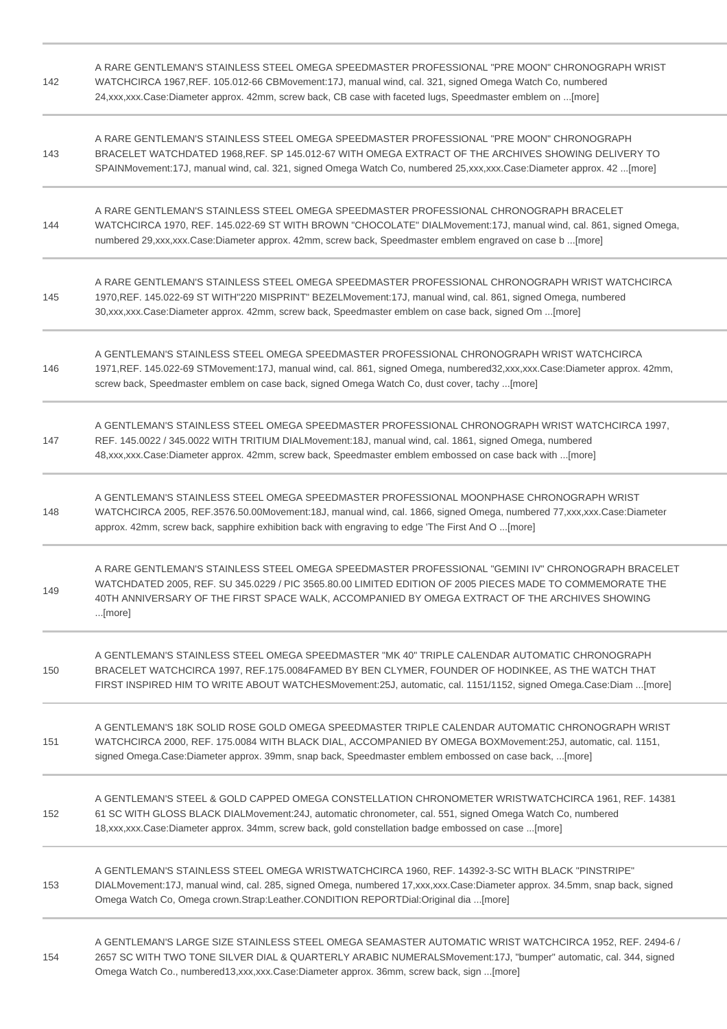| 142 | A RARE GENTLEMAN'S STAINLESS STEEL OMEGA SPEEDMASTER PROFESSIONAL "PRE MOON" CHRONOGRAPH WRIST<br>WATCHCIRCA 1967, REF. 105.012-66 CBMovement: 17J, manual wind, cal. 321, signed Omega Watch Co, numbered<br>24, xxx, xxx. Case: Diameter approx. 42mm, screw back, CB case with faceted lugs, Speedmaster emblem on [more] |
|-----|------------------------------------------------------------------------------------------------------------------------------------------------------------------------------------------------------------------------------------------------------------------------------------------------------------------------------|
| 143 | A RARE GENTLEMAN'S STAINLESS STEEL OMEGA SPEEDMASTER PROFESSIONAL "PRE MOON" CHRONOGRAPH<br>BRACELET WATCHDATED 1968, REF. SP 145.012-67 WITH OMEGA EXTRACT OF THE ARCHIVES SHOWING DELIVERY TO<br>SPAINMovement:17J, manual wind, cal. 321, signed Omega Watch Co, numbered 25,xxx,xxx.Case:Diameter approx. 42 [more]      |
| 144 | A RARE GENTLEMAN'S STAINLESS STEEL OMEGA SPEEDMASTER PROFESSIONAL CHRONOGRAPH BRACELET<br>WATCHCIRCA 1970, REF. 145.022-69 ST WITH BROWN "CHOCOLATE" DIALMovement:17J, manual wind, cal. 861, signed Omega,<br>numbered 29, xxx, xxx. Case: Diameter approx. 42mm, screw back, Speedmaster emblem engraved on case b  [more] |
| 145 | A RARE GENTLEMAN'S STAINLESS STEEL OMEGA SPEEDMASTER PROFESSIONAL CHRONOGRAPH WRIST WATCHCIRCA<br>1970, REF. 145.022-69 ST WITH"220 MISPRINT" BEZELMovement: 17J, manual wind, cal. 861, signed Omega, numbered<br>30, xxx, xxx. Case: Diameter approx. 42mm, screw back, Speedmaster emblem on case back, signed Om  [more] |
| 146 | A GENTLEMAN'S STAINLESS STEEL OMEGA SPEEDMASTER PROFESSIONAL CHRONOGRAPH WRIST WATCHCIRCA<br>1971, REF. 145.022-69 STMovement: 17J, manual wind, cal. 861, signed Omega, numbered32, xxx, xxx. Case: Diameter approx. 42mm,<br>screw back, Speedmaster emblem on case back, signed Omega Watch Co, dust cover, tachy  [more] |
| 147 | A GENTLEMAN'S STAINLESS STEEL OMEGA SPEEDMASTER PROFESSIONAL CHRONOGRAPH WRIST WATCHCIRCA 1997.<br>REF. 145.0022 / 345.0022 WITH TRITIUM DIALMovement:18J, manual wind, cal. 1861, signed Omega, numbered<br>48, xxx, xxx. Case: Diameter approx. 42mm, screw back, Speedmaster emblem embossed on case back with  [more]    |
| 148 | A GENTLEMAN'S STAINLESS STEEL OMEGA SPEEDMASTER PROFESSIONAL MOONPHASE CHRONOGRAPH WRIST<br>WATCHCIRCA 2005, REF.3576.50.00Movement:18J, manual wind, cal. 1866, signed Omega, numbered 77,xxx,xxx.Case:Diameter<br>approx. 42mm, screw back, sapphire exhibition back with engraving to edge 'The First And O [more]        |
| 149 | A RARE GENTLEMAN'S STAINLESS STEEL OMEGA SPEEDMASTER PROFESSIONAL "GEMINI IV" CHRONOGRAPH BRACELET<br>WATCHDATED 2005, REF. SU 345.0229 / PIC 3565.80.00 LIMITED EDITION OF 2005 PIECES MADE TO COMMEMORATE THE<br>40TH ANNIVERSARY OF THE FIRST SPACE WALK, ACCOMPANIED BY OMEGA EXTRACT OF THE ARCHIVES SHOWING<br>[more]  |
| 150 | A GENTLEMAN'S STAINLESS STEEL OMEGA SPEEDMASTER "MK 40" TRIPLE CALENDAR AUTOMATIC CHRONOGRAPH<br>BRACELET WATCHCIRCA 1997, REF.175.0084FAMED BY BEN CLYMER, FOUNDER OF HODINKEE, AS THE WATCH THAT<br>FIRST INSPIRED HIM TO WRITE ABOUT WATCHESMovement:25J, automatic, cal. 1151/1152, signed Omega.Case:Diam [more]        |
| 151 | A GENTLEMAN'S 18K SOLID ROSE GOLD OMEGA SPEEDMASTER TRIPLE CALENDAR AUTOMATIC CHRONOGRAPH WRIST<br>WATCHCIRCA 2000, REF. 175.0084 WITH BLACK DIAL, ACCOMPANIED BY OMEGA BOXMovement:25J, automatic, cal. 1151,<br>signed Omega.Case:Diameter approx. 39mm, snap back, Speedmaster emblem embossed on case back, [more]       |
| 152 | A GENTLEMAN'S STEEL & GOLD CAPPED OMEGA CONSTELLATION CHRONOMETER WRISTWATCHCIRCA 1961, REF. 14381<br>61 SC WITH GLOSS BLACK DIALMovement: 24J, automatic chronometer, cal. 551, signed Omega Watch Co, numbered<br>18, xxx, xxx. Case: Diameter approx. 34mm, screw back, gold constellation badge embossed on case  [more] |
| 153 | A GENTLEMAN'S STAINLESS STEEL OMEGA WRISTWATCHCIRCA 1960, REF. 14392-3-SC WITH BLACK "PINSTRIPE"<br>DIALMovement:17J, manual wind, cal. 285, signed Omega, numbered 17,xxx,xxx.Case:Diameter approx. 34.5mm, snap back, signed<br>Omega Watch Co, Omega crown.Strap:Leather.CONDITION REPORTDial:Original dia [more]         |
| 154 | A GENTLEMAN'S LARGE SIZE STAINLESS STEEL OMEGA SEAMASTER AUTOMATIC WRIST WATCHCIRCA 1952, REF. 2494-6 /<br>2657 SC WITH TWO TONE SILVER DIAL & QUARTERLY ARABIC NUMERALSMovement:17J, "bumper" automatic, cal. 344, signed<br>Omega Watch Co., numbered13,xxx,xxx.Case:Diameter approx. 36mm, screw back, sign [more]        |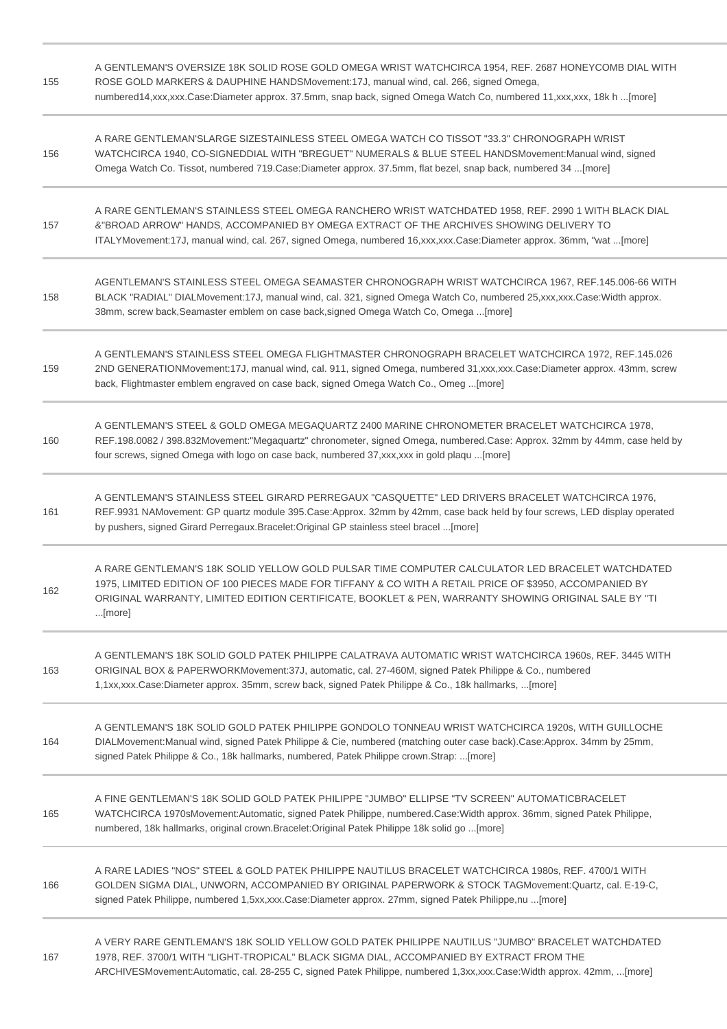| 155 | A GENTLEMAN'S OVERSIZE 18K SOLID ROSE GOLD OMEGA WRIST WATCHCIRCA 1954, REF. 2687 HONEYCOMB DIAL WITH<br>ROSE GOLD MARKERS & DAUPHINE HANDSMovement:17J, manual wind, cal. 266, signed Omega,<br>numbered14,xxx,xxx.Case:Diameter approx. 37.5mm, snap back, signed Omega Watch Co, numbered 11,xxx,xxx, 18k h [more]         |
|-----|-------------------------------------------------------------------------------------------------------------------------------------------------------------------------------------------------------------------------------------------------------------------------------------------------------------------------------|
| 156 | A RARE GENTLEMAN'SLARGE SIZESTAINLESS STEEL OMEGA WATCH CO TISSOT "33.3" CHRONOGRAPH WRIST<br>WATCHCIRCA 1940, CO-SIGNEDDIAL WITH "BREGUET" NUMERALS & BLUE STEEL HANDSMovement: Manual wind, signed<br>Omega Watch Co. Tissot, numbered 719. Case: Diameter approx. 37.5mm, flat bezel, snap back, numbered 34 [more]        |
| 157 | A RARE GENTLEMAN'S STAINLESS STEEL OMEGA RANCHERO WRIST WATCHDATED 1958, REF. 2990 1 WITH BLACK DIAL<br>&"BROAD ARROW" HANDS, ACCOMPANIED BY OMEGA EXTRACT OF THE ARCHIVES SHOWING DELIVERY TO<br>ITALYMovement:17J, manual wind, cal. 267, signed Omega, numbered 16,xxx,xxx.Case:Diameter approx. 36mm, "wat [more]         |
| 158 | AGENTLEMAN'S STAINLESS STEEL OMEGA SEAMASTER CHRONOGRAPH WRIST WATCHCIRCA 1967, REF.145.006-66 WITH<br>BLACK "RADIAL" DIALMovement:17J, manual wind, cal. 321, signed Omega Watch Co, numbered 25,xxx,xxx.Case:Width approx.<br>38mm, screw back, Seamaster emblem on case back, signed Omega Watch Co, Omega  [more]         |
| 159 | A GENTLEMAN'S STAINLESS STEEL OMEGA FLIGHTMASTER CHRONOGRAPH BRACELET WATCHCIRCA 1972, REF.145.026<br>2ND GENERATIONMovement:17J, manual wind, cal. 911, signed Omega, numbered 31,xxx,xxx.Case:Diameter approx. 43mm, screw<br>back, Flightmaster emblem engraved on case back, signed Omega Watch Co., Omeg  [more]         |
| 160 | A GENTLEMAN'S STEEL & GOLD OMEGA MEGAQUARTZ 2400 MARINE CHRONOMETER BRACELET WATCHCIRCA 1978,<br>REF.198.0082 / 398.832Movement:"Megaquartz" chronometer, signed Omega, numbered.Case: Approx. 32mm by 44mm, case held by<br>four screws, signed Omega with logo on case back, numbered 37, xxx, xxx in gold plaqu  [more]    |
| 161 | A GENTLEMAN'S STAINLESS STEEL GIRARD PERREGAUX "CASQUETTE" LED DRIVERS BRACELET WATCHCIRCA 1976,<br>REF.9931 NAMovement: GP quartz module 395.Case:Approx. 32mm by 42mm, case back held by four screws, LED display operated<br>by pushers, signed Girard Perregaux.Bracelet:Original GP stainless steel bracel [more]        |
| 162 | A RARE GENTLEMAN'S 18K SOLID YELLOW GOLD PULSAR TIME COMPUTER CALCULATOR LED BRACELET WATCHDATED<br>1975, LIMITED EDITION OF 100 PIECES MADE FOR TIFFANY & CO WITH A RETAIL PRICE OF \$3950, ACCOMPANIED BY<br>ORIGINAL WARRANTY, LIMITED EDITION CERTIFICATE, BOOKLET & PEN, WARRANTY SHOWING ORIGINAL SALE BY "TI<br>[more] |
| 163 | A GENTLEMAN'S 18K SOLID GOLD PATEK PHILIPPE CALATRAVA AUTOMATIC WRIST WATCHCIRCA 1960s, REF. 3445 WITH<br>ORIGINAL BOX & PAPERWORKMovement:37J, automatic, cal. 27-460M, signed Patek Philippe & Co., numbered<br>1,1xx,xxx.Case:Diameter approx. 35mm, screw back, signed Patek Philippe & Co., 18k hallmarks,  [more]       |
| 164 | A GENTLEMAN'S 18K SOLID GOLD PATEK PHILIPPE GONDOLO TONNEAU WRIST WATCHCIRCA 1920s, WITH GUILLOCHE<br>DIALMovement: Manual wind, signed Patek Philippe & Cie, numbered (matching outer case back). Case: Approx. 34mm by 25mm,<br>signed Patek Philippe & Co., 18k hallmarks, numbered, Patek Philippe crown.Strap: [more]    |
| 165 | A FINE GENTLEMAN'S 18K SOLID GOLD PATEK PHILIPPE "JUMBO" ELLIPSE "TV SCREEN" AUTOMATICBRACELET<br>WATCHCIRCA 1970sMovement:Automatic, signed Patek Philippe, numbered.Case:Width approx. 36mm, signed Patek Philippe,<br>numbered, 18k hallmarks, original crown.Bracelet:Original Patek Philippe 18k solid go [more]         |
| 166 | A RARE LADIES "NOS" STEEL & GOLD PATEK PHILIPPE NAUTILUS BRACELET WATCHCIRCA 1980s, REF. 4700/1 WITH<br>GOLDEN SIGMA DIAL, UNWORN, ACCOMPANIED BY ORIGINAL PAPERWORK & STOCK TAGMovement: Quartz, cal. E-19-C,<br>signed Patek Philippe, numbered 1,5xx,xxx.Case:Diameter approx. 27mm, signed Patek Philippe,nu [more]       |
| 167 | A VERY RARE GENTLEMAN'S 18K SOLID YELLOW GOLD PATEK PHILIPPE NAUTILUS "JUMBO" BRACELET WATCHDATED<br>1978, REF. 3700/1 WITH "LIGHT-TROPICAL" BLACK SIGMA DIAL, ACCOMPANIED BY EXTRACT FROM THE<br>ARCHIVESMovement:Automatic, cal. 28-255 C, signed Patek Philippe, numbered 1,3xx,xxx.Case:Width approx. 42mm, [more]        |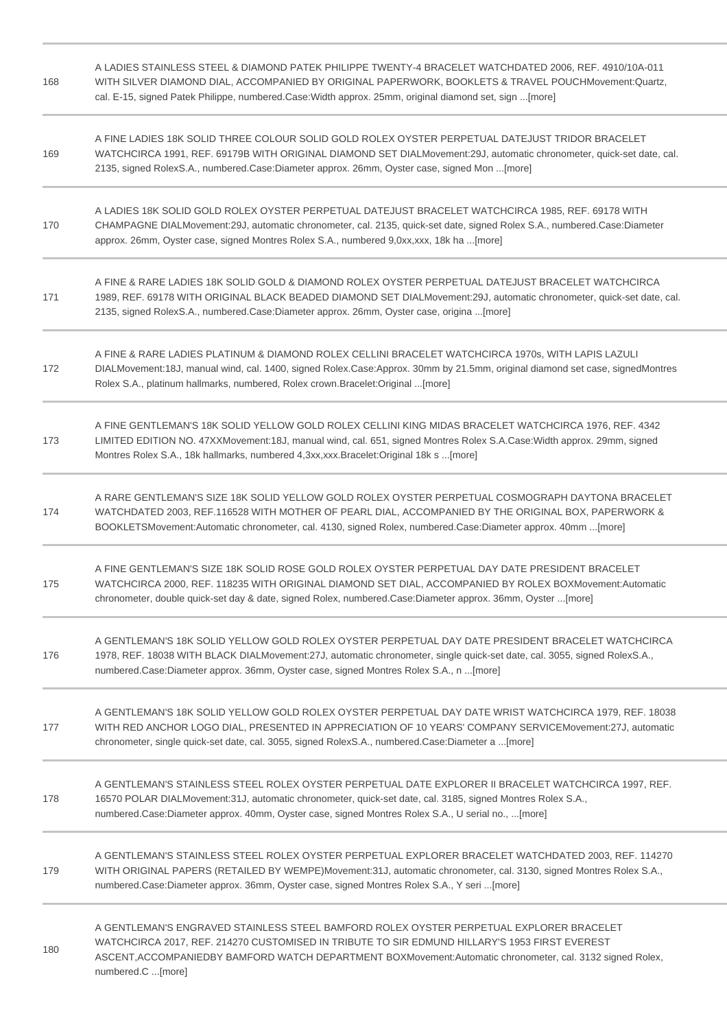| 168 | A LADIES STAINLESS STEEL & DIAMOND PATEK PHILIPPE TWENTY-4 BRACELET WATCHDATED 2006, REF. 4910/10A-011<br>WITH SILVER DIAMOND DIAL, ACCOMPANIED BY ORIGINAL PAPERWORK, BOOKLETS & TRAVEL POUCHMovement:Quartz,<br>cal. E-15, signed Patek Philippe, numbered.Case: Width approx. 25mm, original diamond set, sign  [more]   |
|-----|-----------------------------------------------------------------------------------------------------------------------------------------------------------------------------------------------------------------------------------------------------------------------------------------------------------------------------|
| 169 | A FINE LADIES 18K SOLID THREE COLOUR SOLID GOLD ROLEX OYSTER PERPETUAL DATEJUST TRIDOR BRACELET<br>WATCHCIRCA 1991, REF. 69179B WITH ORIGINAL DIAMOND SET DIALMovement: 29J, automatic chronometer, quick-set date, cal.<br>2135, signed RolexS.A., numbered.Case:Diameter approx. 26mm, Oyster case, signed Mon [more]     |
| 170 | A LADIES 18K SOLID GOLD ROLEX OYSTER PERPETUAL DATEJUST BRACELET WATCHCIRCA 1985, REF. 69178 WITH<br>CHAMPAGNE DIALMovement:29J, automatic chronometer, cal. 2135, quick-set date, signed Rolex S.A., numbered.Case:Diameter<br>approx. 26mm, Oyster case, signed Montres Rolex S.A., numbered 9,0xx,xxx, 18k ha [more]     |
| 171 | A FINE & RARE LADIES 18K SOLID GOLD & DIAMOND ROLEX OYSTER PERPETUAL DATEJUST BRACELET WATCHCIRCA<br>1989, REF. 69178 WITH ORIGINAL BLACK BEADED DIAMOND SET DIALMovement:29J, automatic chronometer, quick-set date, cal.<br>2135, signed RolexS.A., numbered.Case:Diameter approx. 26mm, Oyster case, origina [more]      |
| 172 | A FINE & RARE LADIES PLATINUM & DIAMOND ROLEX CELLINI BRACELET WATCHCIRCA 1970s, WITH LAPIS LAZULI<br>DIALMovement:18J, manual wind, cal. 1400, signed Rolex.Case:Approx. 30mm by 21.5mm, original diamond set case, signedMontres<br>Rolex S.A., platinum hallmarks, numbered, Rolex crown.Bracelet:Original [more]        |
| 173 | A FINE GENTLEMAN'S 18K SOLID YELLOW GOLD ROLEX CELLINI KING MIDAS BRACELET WATCHCIRCA 1976, REF. 4342<br>LIMITED EDITION NO. 47XXMovement:18J, manual wind, cal. 651, signed Montres Rolex S.A.Case: Width approx. 29mm, signed<br>Montres Rolex S.A., 18k hallmarks, numbered 4,3xx,xxx.Bracelet:Original 18k s [more]     |
| 174 | A RARE GENTLEMAN'S SIZE 18K SOLID YELLOW GOLD ROLEX OYSTER PERPETUAL COSMOGRAPH DAYTONA BRACELET<br>WATCHDATED 2003, REF.116528 WITH MOTHER OF PEARL DIAL, ACCOMPANIED BY THE ORIGINAL BOX, PAPERWORK &<br>BOOKLETSMovement:Automatic chronometer, cal. 4130, signed Rolex, numbered.Case:Diameter approx. 40mm [more]      |
| 175 | A FINE GENTLEMAN'S SIZE 18K SOLID ROSE GOLD ROLEX OYSTER PERPETUAL DAY DATE PRESIDENT BRACELET<br>WATCHCIRCA 2000, REF. 118235 WITH ORIGINAL DIAMOND SET DIAL, ACCOMPANIED BY ROLEX BOXMovement:Automatic<br>chronometer, double quick-set day & date, signed Rolex, numbered.Case:Diameter approx. 36mm, Oyster [more]     |
| 176 | A GENTLEMAN'S 18K SOLID YELLOW GOLD ROLEX OYSTER PERPETUAL DAY DATE PRESIDENT BRACELET WATCHCIRCA<br>1978, REF. 18038 WITH BLACK DIALMovement: 27J, automatic chronometer, single quick-set date, cal. 3055, signed RolexS.A.,<br>numbered.Case:Diameter approx. 36mm, Oyster case, signed Montres Rolex S.A., n  [more]    |
| 177 | A GENTLEMAN'S 18K SOLID YELLOW GOLD ROLEX OYSTER PERPETUAL DAY DATE WRIST WATCHCIRCA 1979, REF. 18038<br>WITH RED ANCHOR LOGO DIAL, PRESENTED IN APPRECIATION OF 10 YEARS' COMPANY SERVICEMovement: 27J, automatic<br>chronometer, single quick-set date, cal. 3055, signed RolexS.A., numbered.Case:Diameter a [more]      |
| 178 | A GENTLEMAN'S STAINLESS STEEL ROLEX OYSTER PERPETUAL DATE EXPLORER II BRACELET WATCHCIRCA 1997, REF.<br>16570 POLAR DIALMovement: 31J, automatic chronometer, quick-set date, cal. 3185, signed Montres Rolex S.A.,<br>numbered.Case:Diameter approx. 40mm, Oyster case, signed Montres Rolex S.A., U serial no., [more]    |
| 179 | A GENTLEMAN'S STAINLESS STEEL ROLEX OYSTER PERPETUAL EXPLORER BRACELET WATCHDATED 2003, REF. 114270<br>WITH ORIGINAL PAPERS (RETAILED BY WEMPE)Movement: 31J, automatic chronometer, cal. 3130, signed Montres Rolex S.A.,<br>numbered.Case:Diameter approx. 36mm, Oyster case, signed Montres Rolex S.A., Y seri [more]    |
| 180 | A GENTLEMAN'S ENGRAVED STAINLESS STEEL BAMFORD ROLEX OYSTER PERPETUAL EXPLORER BRACELET<br>WATCHCIRCA 2017, REF. 214270 CUSTOMISED IN TRIBUTE TO SIR EDMUND HILLARY'S 1953 FIRST EVEREST<br>ASCENT, ACCOMPANIEDBY BAMFORD WATCH DEPARTMENT BOXMovement: Automatic chronometer, cal. 3132 signed Rolex,<br>numbered.C [more] |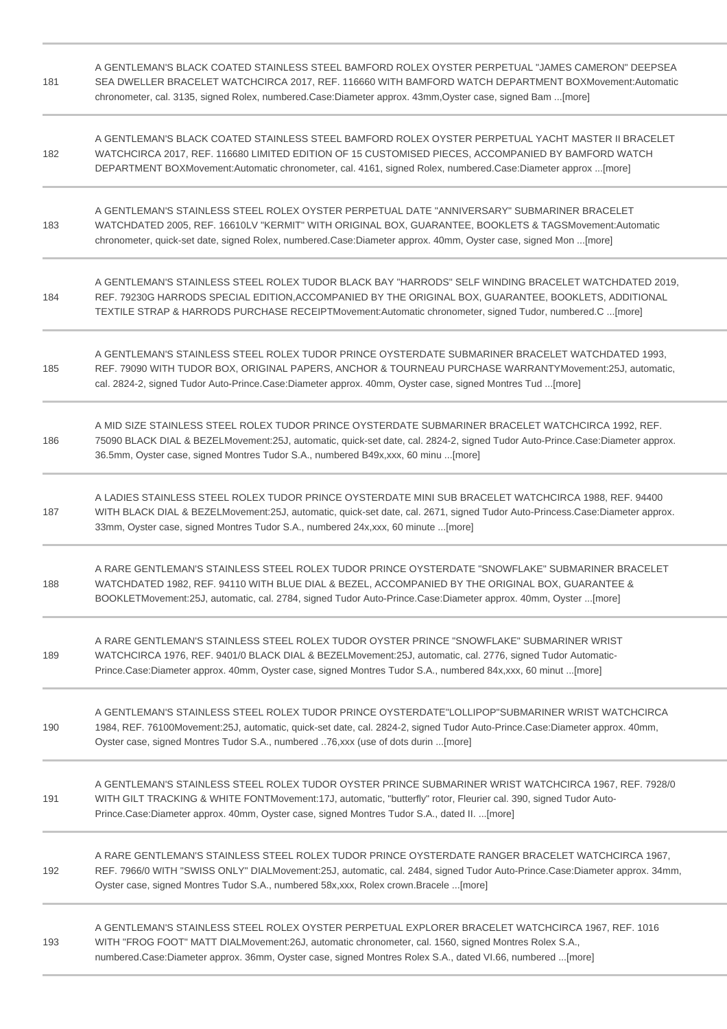| 181 | A GENTLEMAN'S BLACK COATED STAINLESS STEEL BAMFORD ROLEX OYSTER PERPETUAL "JAMES CAMERON" DEEPSEA<br>SEA DWELLER BRACELET WATCHCIRCA 2017, REF. 116660 WITH BAMFORD WATCH DEPARTMENT BOXMovement:Automatic<br>chronometer, cal. 3135, signed Rolex, numbered.Case:Diameter approx. 43mm, Oyster case, signed Bam [more]   |
|-----|---------------------------------------------------------------------------------------------------------------------------------------------------------------------------------------------------------------------------------------------------------------------------------------------------------------------------|
| 182 | A GENTLEMAN'S BLACK COATED STAINLESS STEEL BAMFORD ROLEX OYSTER PERPETUAL YACHT MASTER II BRACELET<br>WATCHCIRCA 2017, REF. 116680 LIMITED EDITION OF 15 CUSTOMISED PIECES, ACCOMPANIED BY BAMFORD WATCH<br>DEPARTMENT BOXMovement:Automatic chronometer, cal. 4161, signed Rolex, numbered.Case:Diameter approx [more]   |
| 183 | A GENTLEMAN'S STAINLESS STEEL ROLEX OYSTER PERPETUAL DATE "ANNIVERSARY" SUBMARINER BRACELET<br>WATCHDATED 2005, REF. 16610LV "KERMIT" WITH ORIGINAL BOX, GUARANTEE, BOOKLETS & TAGSMovement:Automatic<br>chronometer, quick-set date, signed Rolex, numbered.Case:Diameter approx. 40mm, Oyster case, signed Mon [more]   |
| 184 | A GENTLEMAN'S STAINLESS STEEL ROLEX TUDOR BLACK BAY "HARRODS" SELF WINDING BRACELET WATCHDATED 2019,<br>REF. 79230G HARRODS SPECIAL EDITION, ACCOMPANIED BY THE ORIGINAL BOX, GUARANTEE, BOOKLETS, ADDITIONAL<br>TEXTILE STRAP & HARRODS PURCHASE RECEIPTMovement:Automatic chronometer, signed Tudor, numbered.C [more]  |
| 185 | A GENTLEMAN'S STAINLESS STEEL ROLEX TUDOR PRINCE OYSTERDATE SUBMARINER BRACELET WATCHDATED 1993.<br>REF. 79090 WITH TUDOR BOX, ORIGINAL PAPERS, ANCHOR & TOURNEAU PURCHASE WARRANTYMovement:25J, automatic,<br>cal. 2824-2, signed Tudor Auto-Prince.Case:Diameter approx. 40mm, Oyster case, signed Montres Tud [more]   |
| 186 | A MID SIZE STAINLESS STEEL ROLEX TUDOR PRINCE OYSTERDATE SUBMARINER BRACELET WATCHCIRCA 1992, REF.<br>75090 BLACK DIAL & BEZELMovement:25J, automatic, quick-set date, cal. 2824-2, signed Tudor Auto-Prince.Case:Diameter approx.<br>36.5mm, Oyster case, signed Montres Tudor S.A., numbered B49x,xxx, 60 minu [more]   |
| 187 | A LADIES STAINLESS STEEL ROLEX TUDOR PRINCE OYSTERDATE MINI SUB BRACELET WATCHCIRCA 1988, REF. 94400<br>WITH BLACK DIAL & BEZELMovement:25J, automatic, quick-set date, cal. 2671, signed Tudor Auto-Princess.Case:Diameter approx.<br>33mm, Oyster case, signed Montres Tudor S.A., numbered 24x, xxx, 60 minute  [more] |
| 188 | A RARE GENTLEMAN'S STAINLESS STEEL ROLEX TUDOR PRINCE OYSTERDATE "SNOWFLAKE" SUBMARINER BRACELET<br>WATCHDATED 1982, REF. 94110 WITH BLUE DIAL & BEZEL, ACCOMPANIED BY THE ORIGINAL BOX, GUARANTEE &<br>BOOKLETMovement:25J, automatic, cal. 2784, signed Tudor Auto-Prince.Case:Diameter approx. 40mm, Oyster [more]     |
| 189 | A RARE GENTLEMAN'S STAINLESS STEEL ROLEX TUDOR OYSTER PRINCE "SNOWFLAKE" SUBMARINER WRIST<br>WATCHCIRCA 1976, REF. 9401/0 BLACK DIAL & BEZELMovement:25J, automatic, cal. 2776, signed Tudor Automatic-<br>Prince.Case:Diameter approx. 40mm, Oyster case, signed Montres Tudor S.A., numbered 84x,xxx, 60 minut [more]   |
| 190 | A GENTLEMAN'S STAINLESS STEEL ROLEX TUDOR PRINCE OYSTERDATE"LOLLIPOP"SUBMARINER WRIST WATCHCIRCA<br>1984, REF. 76100Movement:25J, automatic, quick-set date, cal. 2824-2, signed Tudor Auto-Prince.Case:Diameter approx. 40mm,<br>Oyster case, signed Montres Tudor S.A., numbered 76, xxx (use of dots durin  [more]     |
| 191 | A GENTLEMAN'S STAINLESS STEEL ROLEX TUDOR OYSTER PRINCE SUBMARINER WRIST WATCHCIRCA 1967, REF. 7928/0<br>WITH GILT TRACKING & WHITE FONTMovement:17J, automatic, "butterfly" rotor, Fleurier cal. 390, signed Tudor Auto-<br>Prince.Case:Diameter approx. 40mm, Oyster case, signed Montres Tudor S.A., dated II. [more]  |
| 192 | A RARE GENTLEMAN'S STAINLESS STEEL ROLEX TUDOR PRINCE OYSTERDATE RANGER BRACELET WATCHCIRCA 1967,<br>REF. 7966/0 WITH "SWISS ONLY" DIALMovement:25J, automatic, cal. 2484, signed Tudor Auto-Prince.Case:Diameter approx. 34mm,<br>Oyster case, signed Montres Tudor S.A., numbered 58x,xxx, Rolex crown.Bracele [more]   |
| 193 | A GENTLEMAN'S STAINLESS STEEL ROLEX OYSTER PERPETUAL EXPLORER BRACELET WATCHCIRCA 1967, REF. 1016<br>WITH "FROG FOOT" MATT DIALMovement:26J, automatic chronometer, cal. 1560, signed Montres Rolex S.A.,<br>numbered.Case:Diameter approx. 36mm, Oyster case, signed Montres Rolex S.A., dated VI.66, numbered [more]    |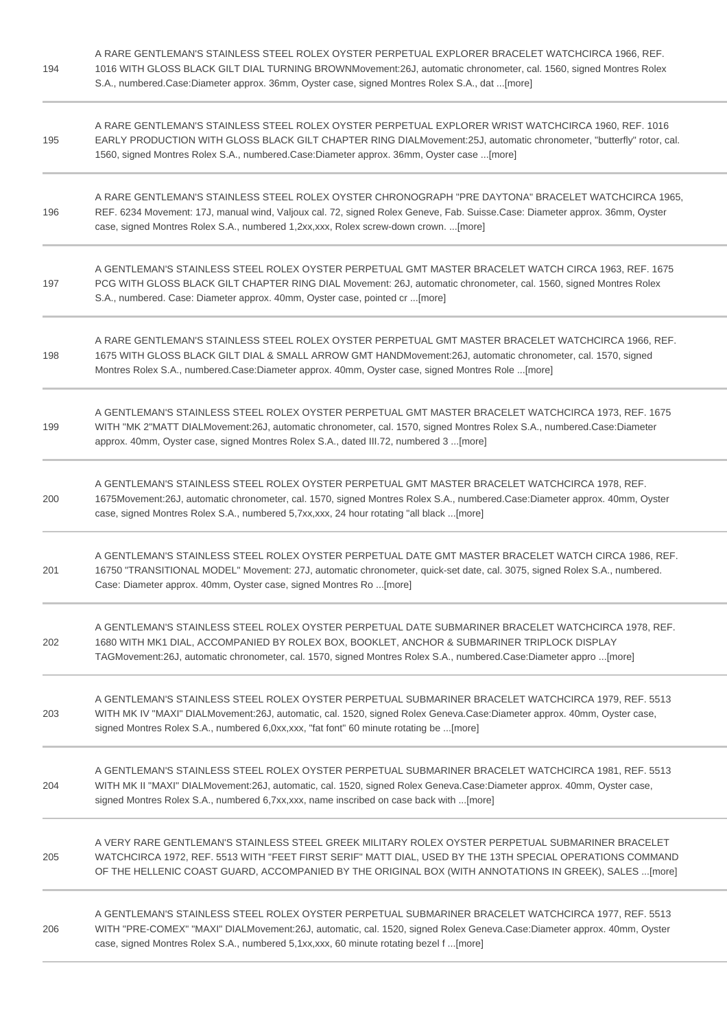| 194 | A RARE GENTLEMAN'S STAINLESS STEEL ROLEX OYSTER PERPETUAL EXPLORER BRACELET WATCHCIRCA 1966, REF.<br>1016 WITH GLOSS BLACK GILT DIAL TURNING BROWNMovement:26J, automatic chronometer, cal. 1560, signed Montres Rolex<br>S.A., numbered.Case:Diameter approx. 36mm, Oyster case, signed Montres Rolex S.A., dat [more]   |
|-----|---------------------------------------------------------------------------------------------------------------------------------------------------------------------------------------------------------------------------------------------------------------------------------------------------------------------------|
| 195 | A RARE GENTLEMAN'S STAINLESS STEEL ROLEX OYSTER PERPETUAL EXPLORER WRIST WATCHCIRCA 1960, REF. 1016<br>EARLY PRODUCTION WITH GLOSS BLACK GILT CHAPTER RING DIALMovement:25J, automatic chronometer, "butterfly" rotor, cal.<br>1560, signed Montres Rolex S.A., numbered.Case:Diameter approx. 36mm, Oyster case [more]   |
| 196 | A RARE GENTLEMAN'S STAINLESS STEEL ROLEX OYSTER CHRONOGRAPH "PRE DAYTONA" BRACELET WATCHCIRCA 1965.<br>REF. 6234 Movement: 17J, manual wind, Valjoux cal. 72, signed Rolex Geneve, Fab. Suisse.Case: Diameter approx. 36mm, Oyster<br>case, signed Montres Rolex S.A., numbered 1,2xx,xxx, Rolex screw-down crown. [more] |
| 197 | A GENTLEMAN'S STAINLESS STEEL ROLEX OYSTER PERPETUAL GMT MASTER BRACELET WATCH CIRCA 1963, REF. 1675<br>PCG WITH GLOSS BLACK GILT CHAPTER RING DIAL Movement: 26J, automatic chronometer, cal. 1560, signed Montres Rolex<br>S.A., numbered. Case: Diameter approx. 40mm, Oyster case, pointed cr [more]                  |
| 198 | A RARE GENTLEMAN'S STAINLESS STEEL ROLEX OYSTER PERPETUAL GMT MASTER BRACELET WATCHCIRCA 1966, REF.<br>1675 WITH GLOSS BLACK GILT DIAL & SMALL ARROW GMT HANDMovement:26J, automatic chronometer, cal. 1570, signed<br>Montres Rolex S.A., numbered.Case:Diameter approx. 40mm, Oyster case, signed Montres Role [more]   |
| 199 | A GENTLEMAN'S STAINLESS STEEL ROLEX OYSTER PERPETUAL GMT MASTER BRACELET WATCHCIRCA 1973, REF. 1675<br>WITH "MK 2"MATT DIALMovement:26J, automatic chronometer, cal. 1570, signed Montres Rolex S.A., numbered.Case:Diameter<br>approx. 40mm, Oyster case, signed Montres Rolex S.A., dated III.72, numbered 3  [more]    |
| 200 | A GENTLEMAN'S STAINLESS STEEL ROLEX OYSTER PERPETUAL GMT MASTER BRACELET WATCHCIRCA 1978, REF.<br>1675Movement:26J, automatic chronometer, cal. 1570, signed Montres Rolex S.A., numbered.Case:Diameter approx. 40mm, Oyster<br>case, signed Montres Rolex S.A., numbered 5,7xx,xxx, 24 hour rotating "all black [more]   |
| 201 | A GENTLEMAN'S STAINLESS STEEL ROLEX OYSTER PERPETUAL DATE GMT MASTER BRACELET WATCH CIRCA 1986, REF.<br>16750 "TRANSITIONAL MODEL" Movement: 27J, automatic chronometer, quick-set date, cal. 3075, signed Rolex S.A., numbered.<br>Case: Diameter approx. 40mm, Oyster case, signed Montres Ro [more]                    |
| 202 | A GENTLEMAN'S STAINLESS STEEL ROLEX OYSTER PERPETUAL DATE SUBMARINER BRACELET WATCHCIRCA 1978, REF.<br>1680 WITH MK1 DIAL, ACCOMPANIED BY ROLEX BOX, BOOKLET, ANCHOR & SUBMARINER TRIPLOCK DISPLAY<br>TAGMovement:26J, automatic chronometer, cal. 1570, signed Montres Rolex S.A., numbered.Case:Diameter appro [more]   |
| 203 | A GENTLEMAN'S STAINLESS STEEL ROLEX OYSTER PERPETUAL SUBMARINER BRACELET WATCHCIRCA 1979, REF. 5513<br>WITH MK IV "MAXI" DIALMovement:26J, automatic, cal. 1520, signed Rolex Geneva.Case:Diameter approx. 40mm, Oyster case,<br>signed Montres Rolex S.A., numbered 6,0xx,xxx, "fat font" 60 minute rotating be [more]   |
| 204 | A GENTLEMAN'S STAINLESS STEEL ROLEX OYSTER PERPETUAL SUBMARINER BRACELET WATCHCIRCA 1981, REF. 5513<br>WITH MK II "MAXI" DIALMovement:26J, automatic, cal. 1520, signed Rolex Geneva.Case:Diameter approx. 40mm, Oyster case,<br>signed Montres Rolex S.A., numbered 6,7xx,xxx, name inscribed on case back with [more]   |
| 205 | A VERY RARE GENTLEMAN'S STAINLESS STEEL GREEK MILITARY ROLEX OYSTER PERPETUAL SUBMARINER BRACELET<br>WATCHCIRCA 1972, REF. 5513 WITH "FEET FIRST SERIF" MATT DIAL, USED BY THE 13TH SPECIAL OPERATIONS COMMAND<br>OF THE HELLENIC COAST GUARD, ACCOMPANIED BY THE ORIGINAL BOX (WITH ANNOTATIONS IN GREEK), SALES  [more] |
| 206 | A GENTLEMAN'S STAINLESS STEEL ROLEX OYSTER PERPETUAL SUBMARINER BRACELET WATCHCIRCA 1977, REF. 5513<br>WITH "PRE-COMEX" "MAXI" DIALMovement:26J, automatic, cal. 1520, signed Rolex Geneva.Case:Diameter approx. 40mm, Oyster<br>case, signed Montres Rolex S.A., numbered 5,1xx,xxx, 60 minute rotating bezel f [more]   |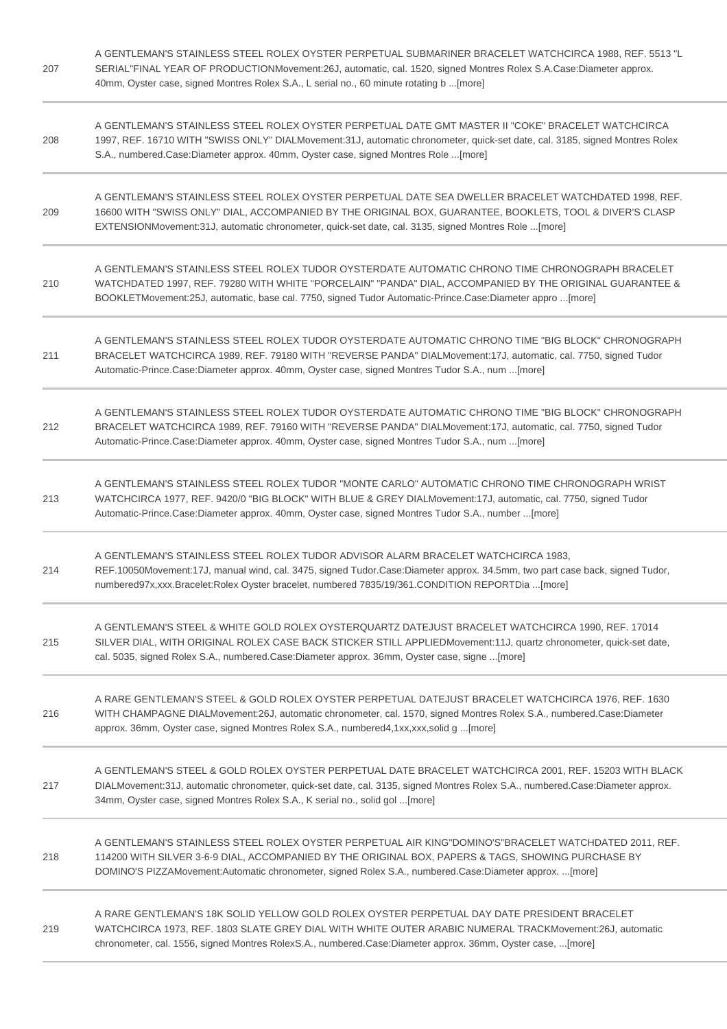| 207 | A GENTLEMAN'S STAINLESS STEEL ROLEX OYSTER PERPETUAL SUBMARINER BRACELET WATCHCIRCA 1988, REF. 5513 "L<br>SERIAL"FINAL YEAR OF PRODUCTIONMovement:26J, automatic, cal. 1520, signed Montres Rolex S.A.Case:Diameter approx.<br>40mm, Oyster case, signed Montres Rolex S.A., L serial no., 60 minute rotating b [more]   |
|-----|--------------------------------------------------------------------------------------------------------------------------------------------------------------------------------------------------------------------------------------------------------------------------------------------------------------------------|
| 208 | A GENTLEMAN'S STAINLESS STEEL ROLEX OYSTER PERPETUAL DATE GMT MASTER II "COKE" BRACELET WATCHCIRCA<br>1997, REF. 16710 WITH "SWISS ONLY" DIALMovement: 31J, automatic chronometer, quick-set date, cal. 3185, signed Montres Rolex<br>S.A., numbered.Case:Diameter approx. 40mm, Oyster case, signed Montres Role [more] |
| 209 | A GENTLEMAN'S STAINLESS STEEL ROLEX OYSTER PERPETUAL DATE SEA DWELLER BRACELET WATCHDATED 1998, REF.<br>16600 WITH "SWISS ONLY" DIAL, ACCOMPANIED BY THE ORIGINAL BOX, GUARANTEE, BOOKLETS, TOOL & DIVER'S CLASP<br>EXTENSIONMovement:31J, automatic chronometer, quick-set date, cal. 3135, signed Montres Role [more]  |
| 210 | A GENTLEMAN'S STAINLESS STEEL ROLEX TUDOR OYSTERDATE AUTOMATIC CHRONO TIME CHRONOGRAPH BRACELET<br>WATCHDATED 1997, REF. 79280 WITH WHITE "PORCELAIN" "PANDA" DIAL, ACCOMPANIED BY THE ORIGINAL GUARANTEE &<br>BOOKLETMovement:25J, automatic, base cal. 7750, signed Tudor Automatic-Prince.Case:Diameter appro [more]  |
| 211 | A GENTLEMAN'S STAINLESS STEEL ROLEX TUDOR OYSTERDATE AUTOMATIC CHRONO TIME "BIG BLOCK" CHRONOGRAPH<br>BRACELET WATCHCIRCA 1989, REF. 79180 WITH "REVERSE PANDA" DIALMovement:17J, automatic, cal. 7750, signed Tudor<br>Automatic-Prince.Case:Diameter approx. 40mm, Oyster case, signed Montres Tudor S.A., num [more]  |
| 212 | A GENTLEMAN'S STAINLESS STEEL ROLEX TUDOR OYSTERDATE AUTOMATIC CHRONO TIME "BIG BLOCK" CHRONOGRAPH<br>BRACELET WATCHCIRCA 1989, REF. 79160 WITH "REVERSE PANDA" DIALMovement:17J, automatic, cal. 7750, signed Tudor<br>Automatic-Prince.Case:Diameter approx. 40mm, Oyster case, signed Montres Tudor S.A., num [more]  |
| 213 | A GENTLEMAN'S STAINLESS STEEL ROLEX TUDOR "MONTE CARLO" AUTOMATIC CHRONO TIME CHRONOGRAPH WRIST<br>WATCHCIRCA 1977, REF. 9420/0 "BIG BLOCK" WITH BLUE & GREY DIALMovement:17J, automatic, cal. 7750, signed Tudor<br>Automatic-Prince.Case:Diameter approx. 40mm, Oyster case, signed Montres Tudor S.A., number  [more] |
| 214 | A GENTLEMAN'S STAINLESS STEEL ROLEX TUDOR ADVISOR ALARM BRACELET WATCHCIRCA 1983.<br>REF.10050Movement:17J, manual wind, cal. 3475, signed Tudor.Case:Diameter approx. 34.5mm, two part case back, signed Tudor,<br>numbered97x,xxx.Bracelet:Rolex Oyster bracelet, numbered 7835/19/361.CONDITION REPORTDia [more]      |
| 215 | A GENTLEMAN'S STEEL & WHITE GOLD ROLEX OYSTERQUARTZ DATEJUST BRACELET WATCHCIRCA 1990, REF. 17014<br>SILVER DIAL, WITH ORIGINAL ROLEX CASE BACK STICKER STILL APPLIEDMovement:11J, quartz chronometer, quick-set date,<br>cal. 5035, signed Rolex S.A., numbered.Case:Diameter approx. 36mm, Oyster case, signe [more]   |
| 216 | A RARE GENTLEMAN'S STEEL & GOLD ROLEX OYSTER PERPETUAL DATEJUST BRACELET WATCHCIRCA 1976, REF. 1630<br>WITH CHAMPAGNE DIALMovement:26J, automatic chronometer, cal. 1570, signed Montres Rolex S.A., numbered.Case:Diameter<br>approx. 36mm, Oyster case, signed Montres Rolex S.A., numbered4,1xx,xxx,solid g [more]    |
| 217 | A GENTLEMAN'S STEEL & GOLD ROLEX OYSTER PERPETUAL DATE BRACELET WATCHCIRCA 2001, REF. 15203 WITH BLACK<br>DIALMovement:31J, automatic chronometer, quick-set date, cal. 3135, signed Montres Rolex S.A., numbered.Case:Diameter approx.<br>34mm, Oyster case, signed Montres Rolex S.A., K serial no., solid gol [more]  |
| 218 | A GENTLEMAN'S STAINLESS STEEL ROLEX OYSTER PERPETUAL AIR KING"DOMINO'S"BRACELET WATCHDATED 2011, REF.<br>114200 WITH SILVER 3-6-9 DIAL, ACCOMPANIED BY THE ORIGINAL BOX, PAPERS & TAGS, SHOWING PURCHASE BY<br>DOMINO'S PIZZAMovement:Automatic chronometer, signed Rolex S.A., numbered.Case:Diameter approx. [more]    |
| 219 | A RARE GENTLEMAN'S 18K SOLID YELLOW GOLD ROLEX OYSTER PERPETUAL DAY DATE PRESIDENT BRACELET<br>WATCHCIRCA 1973, REF. 1803 SLATE GREY DIAL WITH WHITE OUTER ARABIC NUMERAL TRACKMovement:26J, automatic<br>chronometer, cal. 1556, signed Montres RolexS.A., numbered.Case:Diameter approx. 36mm, Oyster case, [more]     |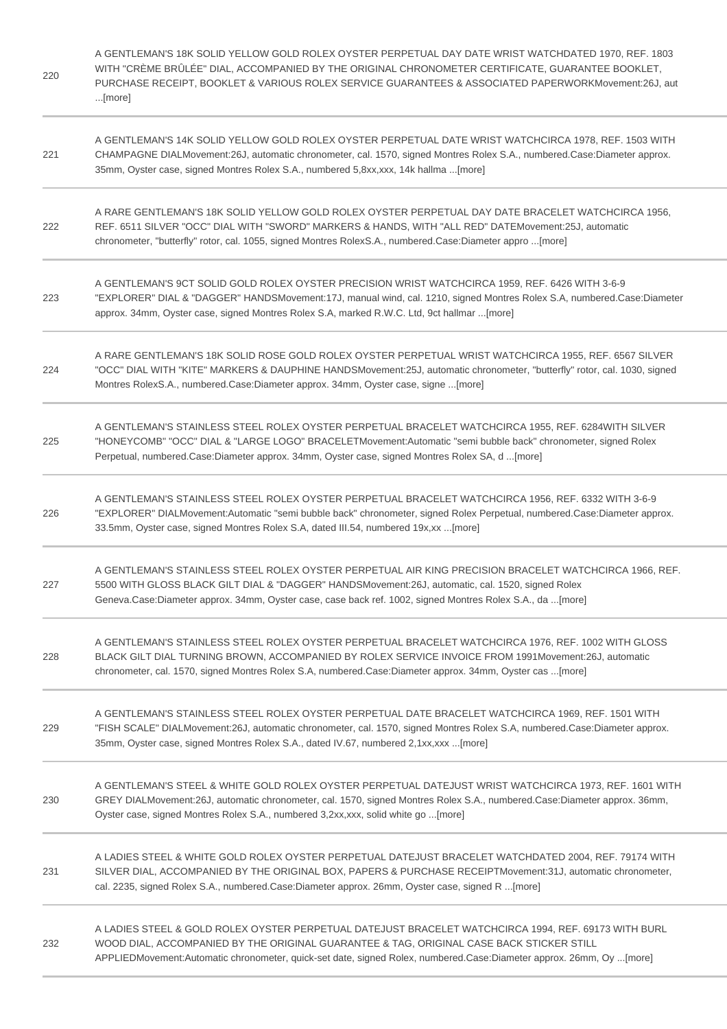| 220 | A GENTLEMAN'S 18K SOLID YELLOW GOLD ROLEX OYSTER PERPETUAL DAY DATE WRIST WATCHDATED 1970, REF. 1803<br>WITH "CRÈME BRÛLÉE" DIAL, ACCOMPANIED BY THE ORIGINAL CHRONOMETER CERTIFICATE, GUARANTEE BOOKLET,<br>PURCHASE RECEIPT, BOOKLET & VARIOUS ROLEX SERVICE GUARANTEES & ASSOCIATED PAPERWORKMovement:26J, aut<br>[more] |
|-----|-----------------------------------------------------------------------------------------------------------------------------------------------------------------------------------------------------------------------------------------------------------------------------------------------------------------------------|
| 221 | A GENTLEMAN'S 14K SOLID YELLOW GOLD ROLEX OYSTER PERPETUAL DATE WRIST WATCHCIRCA 1978, REF. 1503 WITH<br>CHAMPAGNE DIALMovement:26J, automatic chronometer, cal. 1570, signed Montres Rolex S.A., numbered.Case:Diameter approx.<br>35mm, Oyster case, signed Montres Rolex S.A., numbered 5,8xx,xxx, 14k hallma [more]     |
| 222 | A RARE GENTLEMAN'S 18K SOLID YELLOW GOLD ROLEX OYSTER PERPETUAL DAY DATE BRACELET WATCHCIRCA 1956,<br>REF. 6511 SILVER "OCC" DIAL WITH "SWORD" MARKERS & HANDS, WITH "ALL RED" DATEMovement:25J, automatic<br>chronometer, "butterfly" rotor, cal. 1055, signed Montres RolexS.A., numbered.Case:Diameter appro [more]      |
| 223 | A GENTLEMAN'S 9CT SOLID GOLD ROLEX OYSTER PRECISION WRIST WATCHCIRCA 1959, REF. 6426 WITH 3-6-9<br>"EXPLORER" DIAL & "DAGGER" HANDSMovement:17J, manual wind, cal. 1210, signed Montres Rolex S.A, numbered.Case:Diameter<br>approx. 34mm, Oyster case, signed Montres Rolex S.A, marked R.W.C. Ltd, 9ct hallmar  [more]    |
| 224 | A RARE GENTLEMAN'S 18K SOLID ROSE GOLD ROLEX OYSTER PERPETUAL WRIST WATCHCIRCA 1955, REF. 6567 SILVER<br>"OCC" DIAL WITH "KITE" MARKERS & DAUPHINE HANDSMovement:25J, automatic chronometer, "butterfly" rotor, cal. 1030, signed<br>Montres RolexS.A., numbered.Case:Diameter approx. 34mm, Oyster case, signe [more]      |
| 225 | A GENTLEMAN'S STAINLESS STEEL ROLEX OYSTER PERPETUAL BRACELET WATCHCIRCA 1955, REF. 6284WITH SILVER<br>"HONEYCOMB" "OCC" DIAL & "LARGE LOGO" BRACELETMovement:Automatic "semi bubble back" chronometer, signed Rolex<br>Perpetual, numbered.Case:Diameter approx. 34mm, Oyster case, signed Montres Rolex SA, d [more]      |
| 226 | A GENTLEMAN'S STAINLESS STEEL ROLEX OYSTER PERPETUAL BRACELET WATCHCIRCA 1956, REF. 6332 WITH 3-6-9<br>"EXPLORER" DIALMovement:Automatic "semi bubble back" chronometer, signed Rolex Perpetual, numbered.Case:Diameter approx.<br>33.5mm, Oyster case, signed Montres Rolex S.A, dated III.54, numbered 19x,xx [more]      |
| 227 | A GENTLEMAN'S STAINLESS STEEL ROLEX OYSTER PERPETUAL AIR KING PRECISION BRACELET WATCHCIRCA 1966, REF.<br>5500 WITH GLOSS BLACK GILT DIAL & "DAGGER" HANDSMovement:26J, automatic, cal. 1520, signed Rolex<br>Geneva.Case:Diameter approx. 34mm, Oyster case, case back ref. 1002, signed Montres Rolex S.A., da [more]     |
| 228 | A GENTLEMAN'S STAINLESS STEEL ROLEX OYSTER PERPETUAL BRACELET WATCHCIRCA 1976, REF. 1002 WITH GLOSS<br>BLACK GILT DIAL TURNING BROWN, ACCOMPANIED BY ROLEX SERVICE INVOICE FROM 1991Movement:26J, automatic<br>chronometer, cal. 1570, signed Montres Rolex S.A, numbered.Case:Diameter approx. 34mm, Oyster cas [more]     |
| 229 | A GENTLEMAN'S STAINLESS STEEL ROLEX OYSTER PERPETUAL DATE BRACELET WATCHCIRCA 1969, REF. 1501 WITH<br>"FISH SCALE" DIALMovement:26J, automatic chronometer, cal. 1570, signed Montres Rolex S.A, numbered.Case:Diameter approx.<br>35mm, Oyster case, signed Montres Rolex S.A., dated IV.67, numbered 2,1xx,xxx [more]     |
| 230 | A GENTLEMAN'S STEEL & WHITE GOLD ROLEX OYSTER PERPETUAL DATEJUST WRIST WATCHCIRCA 1973, REF. 1601 WITH<br>GREY DIALMovement:26J, automatic chronometer, cal. 1570, signed Montres Rolex S.A., numbered.Case:Diameter approx. 36mm,<br>Oyster case, signed Montres Rolex S.A., numbered 3,2xx,xxx, solid white go [more]     |
| 231 | A LADIES STEEL & WHITE GOLD ROLEX OYSTER PERPETUAL DATEJUST BRACELET WATCHDATED 2004, REF. 79174 WITH<br>SILVER DIAL, ACCOMPANIED BY THE ORIGINAL BOX, PAPERS & PURCHASE RECEIPTMovement:31J, automatic chronometer,<br>cal. 2235, signed Rolex S.A., numbered.Case:Diameter approx. 26mm, Oyster case, signed R [more]     |
| 232 | A LADIES STEEL & GOLD ROLEX OYSTER PERPETUAL DATEJUST BRACELET WATCHCIRCA 1994, REF. 69173 WITH BURL<br>WOOD DIAL, ACCOMPANIED BY THE ORIGINAL GUARANTEE & TAG, ORIGINAL CASE BACK STICKER STILL<br>APPLIEDMovement:Automatic chronometer, quick-set date, signed Rolex, numbered.Case:Diameter approx. 26mm, Oy [more]     |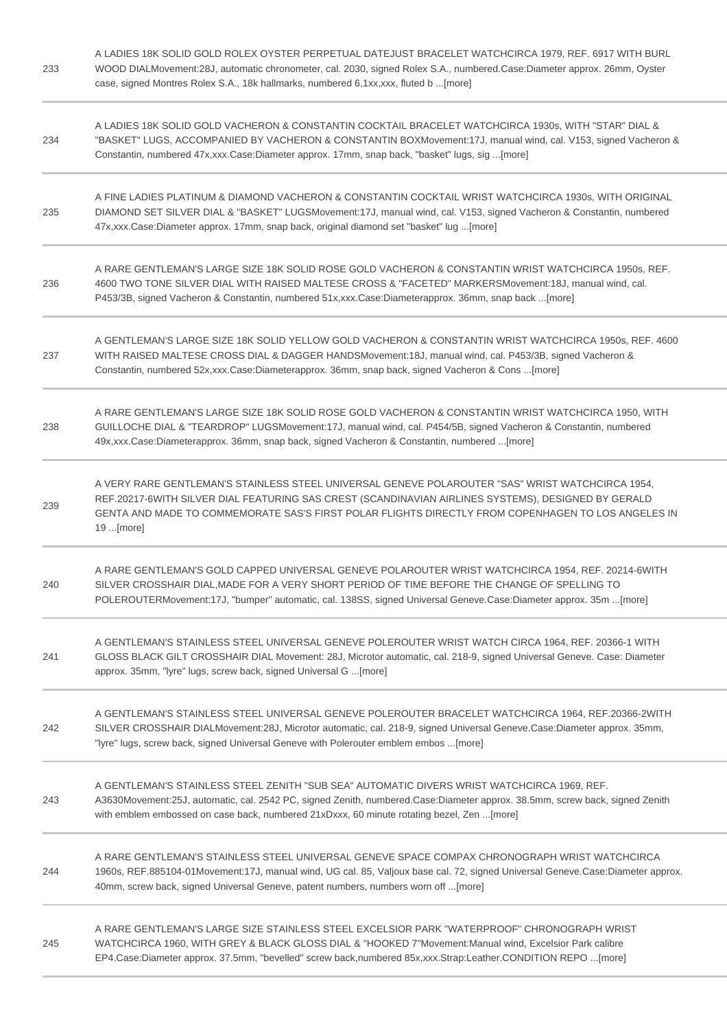| 233 | A LADIES 18K SOLID GOLD ROLEX OYSTER PERPETUAL DATEJUST BRACELET WATCHCIRCA 1979, REF. 6917 WITH BURL<br>WOOD DIALMovement:28J, automatic chronometer, cal. 2030, signed Rolex S.A., numbered.Case:Diameter approx. 26mm, Oyster<br>case, signed Montres Rolex S.A., 18k hallmarks, numbered 6,1xx,xxx, fluted b  [more]     |
|-----|------------------------------------------------------------------------------------------------------------------------------------------------------------------------------------------------------------------------------------------------------------------------------------------------------------------------------|
| 234 | A LADIES 18K SOLID GOLD VACHERON & CONSTANTIN COCKTAIL BRACELET WATCHCIRCA 1930s, WITH "STAR" DIAL &<br>"BASKET" LUGS, ACCOMPANIED BY VACHERON & CONSTANTIN BOXMovement:17J, manual wind, cal. V153, signed Vacheron &<br>Constantin, numbered 47x, xxx. Case: Diameter approx. 17mm, snap back, "basket" lugs, sig  [more]  |
| 235 | A FINE LADIES PLATINUM & DIAMOND VACHERON & CONSTANTIN COCKTAIL WRIST WATCHCIRCA 1930s, WITH ORIGINAL<br>DIAMOND SET SILVER DIAL & "BASKET" LUGSMovement: 17J, manual wind, cal. V153, signed Vacheron & Constantin, numbered<br>47x, xxx. Case: Diameter approx. 17mm, snap back, original diamond set "basket" lug  [more] |
| 236 | A RARE GENTLEMAN'S LARGE SIZE 18K SOLID ROSE GOLD VACHERON & CONSTANTIN WRIST WATCHCIRCA 1950s, REF.<br>4600 TWO TONE SILVER DIAL WITH RAISED MALTESE CROSS & "FACETED" MARKERSMovement:18J, manual wind, cal.<br>P453/3B, signed Vacheron & Constantin, numbered 51x,xxx.Case:Diameterapprox. 36mm, snap back [more]        |
| 237 | A GENTLEMAN'S LARGE SIZE 18K SOLID YELLOW GOLD VACHERON & CONSTANTIN WRIST WATCHCIRCA 1950s, REF. 4600<br>WITH RAISED MALTESE CROSS DIAL & DAGGER HANDSMovement: 18J, manual wind, cal. P453/3B, signed Vacheron &<br>Constantin, numbered 52x, xxx. Case: Diameterapprox. 36mm, snap back, signed Vacheron & Cons  [more]   |
| 238 | A RARE GENTLEMAN'S LARGE SIZE 18K SOLID ROSE GOLD VACHERON & CONSTANTIN WRIST WATCHCIRCA 1950, WITH<br>GUILLOCHE DIAL & "TEARDROP" LUGSMovement:17J, manual wind, cal. P454/5B, signed Vacheron & Constantin, numbered<br>49x,xxx.Case:Diameterapprox. 36mm, snap back, signed Vacheron & Constantin, numbered [more]        |
| 239 | A VERY RARE GENTLEMAN'S STAINLESS STEEL UNIVERSAL GENEVE POLAROUTER "SAS" WRIST WATCHCIRCA 1954,<br>REF.20217-6WITH SILVER DIAL FEATURING SAS CREST (SCANDINAVIAN AIRLINES SYSTEMS), DESIGNED BY GERALD<br>GENTA AND MADE TO COMMEMORATE SAS'S FIRST POLAR FLIGHTS DIRECTLY FROM COPENHAGEN TO LOS ANGELES IN<br>19 [more]   |
| 240 | A RARE GENTLEMAN'S GOLD CAPPED UNIVERSAL GENEVE POLAROUTER WRIST WATCHCIRCA 1954, REF. 20214-6WITH<br>SILVER CROSSHAIR DIAL, MADE FOR A VERY SHORT PERIOD OF TIME BEFORE THE CHANGE OF SPELLING TO<br>POLEROUTERMovement:17J, "bumper" automatic, cal. 138SS, signed Universal Geneve.Case:Diameter approx. 35m [more]       |
| 241 | A GENTLEMAN'S STAINLESS STEEL UNIVERSAL GENEVE POLEROUTER WRIST WATCH CIRCA 1964, REF. 20366-1 WITH<br>GLOSS BLACK GILT CROSSHAIR DIAL Movement: 28J, Microtor automatic, cal. 218-9, signed Universal Geneve. Case: Diameter<br>approx. 35mm, "lyre" lugs, screw back, signed Universal G [more]                            |
| 242 | A GENTLEMAN'S STAINLESS STEEL UNIVERSAL GENEVE POLEROUTER BRACELET WATCHCIRCA 1964, REF.20366-2WITH<br>SILVER CROSSHAIR DIALMovement:28J, Microtor automatic, cal. 218-9, signed Universal Geneve.Case:Diameter approx. 35mm,<br>"lyre" lugs, screw back, signed Universal Geneve with Polerouter emblem embos [more]        |
| 243 | A GENTLEMAN'S STAINLESS STEEL ZENITH "SUB SEA" AUTOMATIC DIVERS WRIST WATCHCIRCA 1969, REF.<br>A3630Movement:25J, automatic, cal. 2542 PC, signed Zenith, numbered.Case:Diameter approx. 38.5mm, screw back, signed Zenith<br>with emblem embossed on case back, numbered 21xDxxx, 60 minute rotating bezel, Zen [more]      |
| 244 | A RARE GENTLEMAN'S STAINLESS STEEL UNIVERSAL GENEVE SPACE COMPAX CHRONOGRAPH WRIST WATCHCIRCA<br>1960s, REF.885104-01Movement:17J, manual wind, UG cal. 85, Valjoux base cal. 72, signed Universal Geneve.Case:Diameter approx.<br>40mm, screw back, signed Universal Geneve, patent numbers, numbers worn off [more]        |
| 245 | A RARE GENTLEMAN'S LARGE SIZE STAINLESS STEEL EXCELSIOR PARK "WATERPROOF" CHRONOGRAPH WRIST<br>WATCHCIRCA 1960, WITH GREY & BLACK GLOSS DIAL & "HOOKED 7"Movement: Manual wind, Excelsior Park calibre<br>EP4.Case:Diameter approx. 37.5mm, "bevelled" screw back,numbered 85x,xxx.Strap:Leather.CONDITION REPO [more]       |